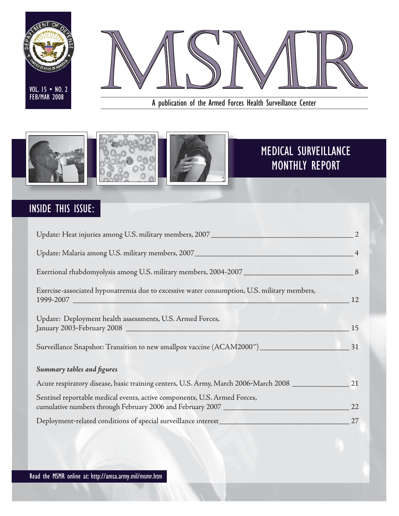



A publication of the Armed Forces Health Surveillance Center



# INSIDE THIS ISSUE:

| Update: Heat injuries among U.S. military members, 2007 ________________________                                                                               |                |
|----------------------------------------------------------------------------------------------------------------------------------------------------------------|----------------|
| Update: Malaria among U.S. military members, 2007_______________________________                                                                               | $\overline{4}$ |
|                                                                                                                                                                |                |
| Exercise-associated hyponatremia due to excessive water consumption, U.S. military members,                                                                    | 12             |
| Update: Deployment health assessments, U.S. Armed Forces,                                                                                                      | 15             |
| Surveillance Snapshot: Transition to new smallpox vaccine (ACAM2000 <sup>**</sup> )____________________________                                                | 31             |
| Summary tables and figures                                                                                                                                     |                |
| Acute respiratory disease, basic training centers, U.S. Army, March 2006-March 2008                                                                            | 21             |
| Sentinel reportable medical events, active components, U.S. Armed Forces,<br>cumulative numbers through February 2006 and February 2007 ______________________ | 22             |
|                                                                                                                                                                |                |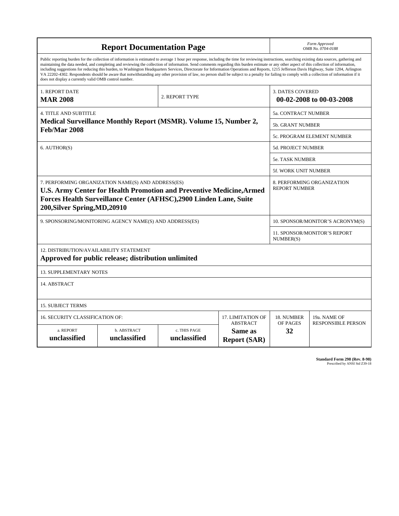|                                                                                                                                                                                                                                         | <b>Report Documentation Page</b>                                                                                                                                                                                                                                                                                                                                                                                                                                                                                                                                                                                                                                                                                                                                                                         |                              |                                                   |                                                     | Form Approved<br>OMB No. 0704-0188 |  |  |
|-----------------------------------------------------------------------------------------------------------------------------------------------------------------------------------------------------------------------------------------|----------------------------------------------------------------------------------------------------------------------------------------------------------------------------------------------------------------------------------------------------------------------------------------------------------------------------------------------------------------------------------------------------------------------------------------------------------------------------------------------------------------------------------------------------------------------------------------------------------------------------------------------------------------------------------------------------------------------------------------------------------------------------------------------------------|------------------------------|---------------------------------------------------|-----------------------------------------------------|------------------------------------|--|--|
| does not display a currently valid OMB control number.                                                                                                                                                                                  | Public reporting burden for the collection of information is estimated to average 1 hour per response, including the time for reviewing instructions, searching existing data sources, gathering and<br>maintaining the data needed, and completing and reviewing the collection of information. Send comments regarding this burden estimate or any other aspect of this collection of information,<br>including suggestions for reducing this burden, to Washington Headquarters Services, Directorate for Information Operations and Reports, 1215 Jefferson Davis Highway, Suite 1204, Arlington<br>VA 22202-4302. Respondents should be aware that notwithstanding any other provision of law, no person shall be subject to a penalty for failing to comply with a collection of information if it |                              |                                                   |                                                     |                                    |  |  |
| 1. REPORT DATE<br><b>MAR 2008</b>                                                                                                                                                                                                       |                                                                                                                                                                                                                                                                                                                                                                                                                                                                                                                                                                                                                                                                                                                                                                                                          | 2. REPORT TYPE               |                                                   | <b>3. DATES COVERED</b><br>00-02-2008 to 00-03-2008 |                                    |  |  |
| <b>4. TITLE AND SUBTITLE</b>                                                                                                                                                                                                            |                                                                                                                                                                                                                                                                                                                                                                                                                                                                                                                                                                                                                                                                                                                                                                                                          |                              |                                                   | 5a. CONTRACT NUMBER                                 |                                    |  |  |
|                                                                                                                                                                                                                                         | Medical Surveillance Monthly Report (MSMR). Volume 15, Number 2,                                                                                                                                                                                                                                                                                                                                                                                                                                                                                                                                                                                                                                                                                                                                         | <b>5b. GRANT NUMBER</b>      |                                                   |                                                     |                                    |  |  |
| <b>Feb/Mar 2008</b>                                                                                                                                                                                                                     |                                                                                                                                                                                                                                                                                                                                                                                                                                                                                                                                                                                                                                                                                                                                                                                                          |                              |                                                   |                                                     | <b>5c. PROGRAM ELEMENT NUMBER</b>  |  |  |
| 6. AUTHOR(S)                                                                                                                                                                                                                            |                                                                                                                                                                                                                                                                                                                                                                                                                                                                                                                                                                                                                                                                                                                                                                                                          |                              |                                                   | <b>5d. PROJECT NUMBER</b>                           |                                    |  |  |
|                                                                                                                                                                                                                                         |                                                                                                                                                                                                                                                                                                                                                                                                                                                                                                                                                                                                                                                                                                                                                                                                          |                              | <b>5e. TASK NUMBER</b>                            |                                                     |                                    |  |  |
|                                                                                                                                                                                                                                         |                                                                                                                                                                                                                                                                                                                                                                                                                                                                                                                                                                                                                                                                                                                                                                                                          |                              |                                                   | 5f. WORK UNIT NUMBER                                |                                    |  |  |
| 7. PERFORMING ORGANIZATION NAME(S) AND ADDRESS(ES)<br><b>U.S. Army Center for Health Promotion and Preventive Medicine, Armed</b><br>Forces Health Surveillance Center (AFHSC),2900 Linden Lane, Suite<br>200, Silver Spring, MD, 20910 | 8. PERFORMING ORGANIZATION<br><b>REPORT NUMBER</b>                                                                                                                                                                                                                                                                                                                                                                                                                                                                                                                                                                                                                                                                                                                                                       |                              |                                                   |                                                     |                                    |  |  |
|                                                                                                                                                                                                                                         | 9. SPONSORING/MONITORING AGENCY NAME(S) AND ADDRESS(ES)                                                                                                                                                                                                                                                                                                                                                                                                                                                                                                                                                                                                                                                                                                                                                  |                              |                                                   | 10. SPONSOR/MONITOR'S ACRONYM(S)                    |                                    |  |  |
|                                                                                                                                                                                                                                         |                                                                                                                                                                                                                                                                                                                                                                                                                                                                                                                                                                                                                                                                                                                                                                                                          |                              |                                                   | 11. SPONSOR/MONITOR'S REPORT<br>NUMBER(S)           |                                    |  |  |
| 12. DISTRIBUTION/AVAILABILITY STATEMENT                                                                                                                                                                                                 | Approved for public release; distribution unlimited                                                                                                                                                                                                                                                                                                                                                                                                                                                                                                                                                                                                                                                                                                                                                      |                              |                                                   |                                                     |                                    |  |  |
| <b>13. SUPPLEMENTARY NOTES</b>                                                                                                                                                                                                          |                                                                                                                                                                                                                                                                                                                                                                                                                                                                                                                                                                                                                                                                                                                                                                                                          |                              |                                                   |                                                     |                                    |  |  |
| 14. ABSTRACT                                                                                                                                                                                                                            |                                                                                                                                                                                                                                                                                                                                                                                                                                                                                                                                                                                                                                                                                                                                                                                                          |                              |                                                   |                                                     |                                    |  |  |
| <b>15. SUBJECT TERMS</b>                                                                                                                                                                                                                |                                                                                                                                                                                                                                                                                                                                                                                                                                                                                                                                                                                                                                                                                                                                                                                                          |                              |                                                   |                                                     |                                    |  |  |
| 16. SECURITY CLASSIFICATION OF:                                                                                                                                                                                                         |                                                                                                                                                                                                                                                                                                                                                                                                                                                                                                                                                                                                                                                                                                                                                                                                          |                              | 17. LIMITATION OF                                 | 18. NUMBER                                          | 19a. NAME OF                       |  |  |
| a. REPORT<br>unclassified                                                                                                                                                                                                               | b. ABSTRACT<br>unclassified                                                                                                                                                                                                                                                                                                                                                                                                                                                                                                                                                                                                                                                                                                                                                                              | c. THIS PAGE<br>unclassified | <b>ABSTRACT</b><br>Same as<br><b>Report (SAR)</b> | OF PAGES<br>32                                      | <b>RESPONSIBLE PERSON</b>          |  |  |

**Standard Form 298 (Rev. 8-98)**<br>Prescribed by ANSI Std Z39-18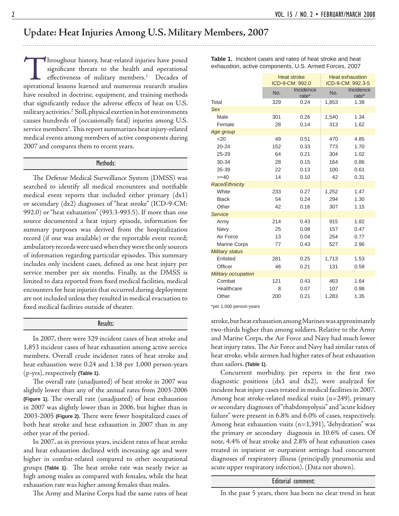### **Update: Heat Injuries Among U.S. Military Members, 2007**

Throughout history, heat-related injuries have posed significant threats to the health and operational effectiveness of military members.<sup>1</sup> Decades of operational lessons learned and numerous research studies have resulted in doctrine, equipment, and training methods that significantly reduce the adverse effects of heat on U.S. military activities.2 Still, physical exertion in hot environments causes hundreds of (occasionally fatal) injuries among U.S. service members<sup>3</sup>. This report summarizes heat injury-related medical events among members of active components during 2007 and compares them to recent years.

#### Methods:

The Defense Medical Surveillance System (DMSS) was searched to identify all medical encounters and notifiable medical event reports that included either primary (dx1) or secondary (dx2) diagnoses of "heat stroke" (ICD-9-CM: 992.0) or "heat exhaustion" (993.3-993.5). If more than one source documented a heat injury episode, information for summary purposes was derived from the hospitalization record (if one was available) or the reportable event record; ambulatory records were used when they were the only sources of information regarding particular episodes. This summary includes only incident cases, defined as one heat injury per service member per six months. Finally, as the DMSS is limited to data reported from fixed medical facilities, medical encounters for heat injuries that occurred during deployment are not included unless they resulted in medical evacuation to fi xed medical facilities outside of theater.

#### Results:

 In 2007, there were 329 incident cases of heat stroke and 1,853 incident cases of heat exhaustion among active service members. Overall crude incidence rates of heat stroke and heat exhaustion were 0.24 and 1.38 per 1,000 person-years (p-yrs), respectively **(Table 1)**.

The overall rate (unadjusted) of heat stroke in 2007 was slightly lower than any of the annual rates from 2003-2006 **(Figure 1).** The overall rate (unadjusted) of heat exhaustion in 2007 was slightly lower than in 2006, but higher than in 2003-2005 (Figure 2). There were fewer hospitalized cases of both heat stroke and heat exhaustion in 2007 than in any other year of the period.

 In 2007, as in previous years, incident rates of heat stroke and heat exhaustion declined with increasing age and were higher in combat-related compared to other occupational groups (Table 1). The heat stroke rate was nearly twice as high among males as compared with females, while the heat exhaustion rate was higher among females than males.

The Army and Marine Corps had the same rates of heat

**Table 1.** Incident cases and rates of heat stroke and heat exhaustion, active components, U.S. Armed Forces, 2007

|                            |     | <b>Heat stroke</b><br>ICD-9-CM: 992.0 |       | <b>Heat exhaustion</b><br>ICD-9-CM: 992.3-5 |
|----------------------------|-----|---------------------------------------|-------|---------------------------------------------|
|                            | No. | Incidence<br>rate*                    | No.   | Incidence<br>rate*                          |
| Total                      | 329 | 0.24                                  | 1,853 | 1.38                                        |
| <b>Sex</b>                 |     |                                       |       |                                             |
| Male                       | 301 | 0.26                                  | 1,540 | 1.34                                        |
| Female                     | 28  | 0.14                                  | 313   | 1.62                                        |
| Age group                  |     |                                       |       |                                             |
| 20                         | 49  | 0.51                                  | 470   | 4.85                                        |
| $20 - 24$                  | 152 | 0.33                                  | 773   | 1.70                                        |
| 25-29                      | 64  | 0.21                                  | 304   | 1.02                                        |
| 30-34                      | 28  | 0.15                                  | 164   | 0.86                                        |
| 35-39                      | 22  | 0.13                                  | 100   | 0.61                                        |
| $>= 40$                    | 14  | 0.10                                  | 42    | 0.31                                        |
| <b>Race/Ethnicity</b>      |     |                                       |       |                                             |
| White                      | 233 | 0.27                                  | 1,252 | 1.47                                        |
| <b>Black</b>               | 54  | 0.24                                  | 294   | 1.30                                        |
| Other                      | 42  | 0.16                                  | 307   | 1.15                                        |
| <b>Service</b>             |     |                                       |       |                                             |
| Army                       | 214 | 0.43                                  | 915   | 1.82                                        |
| Navy                       | 25  | 0.08                                  | 157   | 0.47                                        |
| Air Force                  | 13  | 0.04                                  | 254   | 0.77                                        |
| <b>Marine Corps</b>        | 77  | 0.43                                  | 527   | 2.96                                        |
| <b>Military status</b>     |     |                                       |       |                                             |
| Enlisted                   | 281 | 0.25                                  | 1,713 | 1.53                                        |
| Officer                    | 46  | 0.21                                  | 131   | 0.59                                        |
| <b>Military occupation</b> |     |                                       |       |                                             |
| Combat                     | 121 | 0.43                                  | 463   | 1.64                                        |
| Healthcare                 | 8   | 0.07                                  | 107   | 0.98                                        |
| Other                      | 200 | 0.21                                  | 1,283 | 1.35                                        |

\*per 1,000 person-years

stroke, but heat exhaustion among Marines was approximately two-thirds higher than among soldiers. Relative to the Army and Marine Corps, the Air Force and Navy had much lower heat injury rates. The Air Force and Navy had similar rates of heat stroke, while airmen had higher rates of heat exhaustion than sailors. **(Table 1)**.

Concurrent morbidity, per reports in the first two diagnostic positions (dx1 and dx2), were analyzed for incident heat injury cases treated in medical facilities in 2007. Among heat stroke-related medical visits (n=249), primary or secondary diagnoses of "rhabdomyolysis" and "acute kidney failure" were present in 6.8% and 6.0% of cases, respectively. Among heat exhaustion visits  $(n=1,391)$ , "dehydration" was the primary or secondary diagnosis in 10.6% of cases. Of note, 4.4% of heat stroke and 2.8% of heat exhaustion cases treated in inpatient or outpatient settings had concurrent diagnoses of respiratory illness (principally pneumonia and acute upper respiratory infection). (Data not shown).

Editorial comment:

In the past 5 years, there has been no clear trend in heat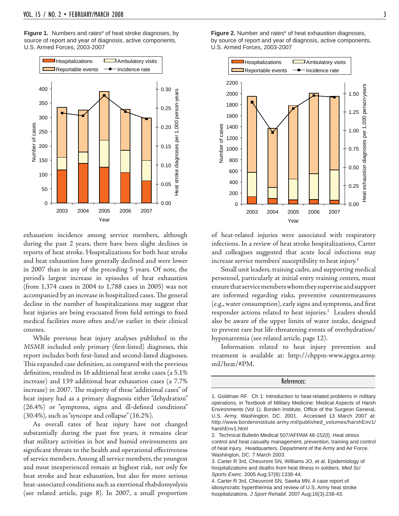**Figure 1.** Numbers and rates\* of heat stroke diagnoses, by source of report and year of diagnosis, active components, U.S. Armed Forces, 2003-2007



exhaustion incidence among service members, although during the past 2 years, there have been slight declines in reports of heat stroke. Hospitalizations for both heat stroke and heat exhaustion have generally declined and were lower in 2007 than in any of the preceding 5 years. Of note, the period's largest increase in episodes of heat exhaustion (from 1,374 cases in 2004 to 1,788 cases in 2005) was not accompanied by an increase in hospitalized cases. The general decline in the number of hospitalizations may suggest that heat injuries are being evacuated from field settings to fixed medical facilities more often and/or earlier in their clinical courses.

 While previous heat injury analyses published in the *MSMR* included only primary (first-listed) diagnoses, this report includes both first-listed and second-listed diagnoses. This expanded case definition, as compared with the previous definition, resulted in 16 additional heat stroke cases (a 5.1% increase) and 139 additional heat exhaustion cases (a 7.7% increase) in 2007. The majority of these "additional cases" of heat injury had as a primary diagnosis either "dehydration"  $(26.4%)$  or "symptoms, signs and ill-defined conditions" (30.4%), such as "syncope and collapse" (16.2%).

 As overall rates of heat injury have not changed substantially during the past five years, it remains clear that military activities in hot and humid environments are significant threats to the health and operational effectiveness of service members. Among all service members, the youngest and most inexperienced remain at highest risk, not only for heat stroke and heat exhaustion, but also for more serious heat-associated conditions such as exertional rhabdomyolysis (see related article, page 8). In 2007, a small proportion

**Figure 2.** Number and rates\* of heat exhaustion diagnoses, by source of report and year of diagnosis, active components, U.S. Armed Forces, 2003-2007



of heat-related injuries were associated with respiratory infections. In a review of heat stroke hospitalizations, Carter and colleagues suggested that acute local infections may increase service members' susceptibility to heat injury.4

 Small unit leaders, training cadre, and supporting medical personnel, particularly at initial entry training centers, must ensure that service members whom they supervise and support are informed regarding risks, preventive countermeasures (e.g., water consumption), early signs and symptoms, and first responder actions related to heat injuries.<sup>2</sup> Leaders should also be aware of the upper limits of water intake, designed to prevent rare but life-threatening events of overhydration/ hyponatremia (see related article, page 12).

 Information related to heat injury prevention and treatment is available at: http://chppm-www.apgea.army. mil/heat/#PM.

#### References:

<sup>1.</sup> Goldman RF. Ch 1: Introduction to heat-related problems in military operations, in Textbook of Military Medicine: Medical Aspects of Harsh Environments (Vol 1). Borden Institute, Office of the Surgeon General, U.S. Army. Washington, DC. 2001. Accessed 13 March 2007 at: http://www.bordeninstitute.army.mil/published\_volumes/harshEnv1/ harshEnv1.html

<sup>2.</sup> Technical Bulletin Medical 507/AFPAM 48-152(l). Heat stress control and heat casualty management, prevention, training and control of heat injury. Headquarters, Department of the Army and Air Force. Washington, DC. 7 March 2003.

<sup>3.</sup> Carter R 3rd, Cheuvront SN, Williams JO, et al. Epidemiology of hospitalizations and deaths from heat illness in soldiers. *Med Sci Sports Exerc.* 2005 Aug;37(8):1338-44.

<sup>4.</sup> Carter R 3rd, Cheuvront SN, Sawka MN. A case report of idiosyncratic hyperthermia and review of U.S. Army heat stroke hospitalizations. *J Sport Rehabil.* 2007 Aug;16(3):238-43.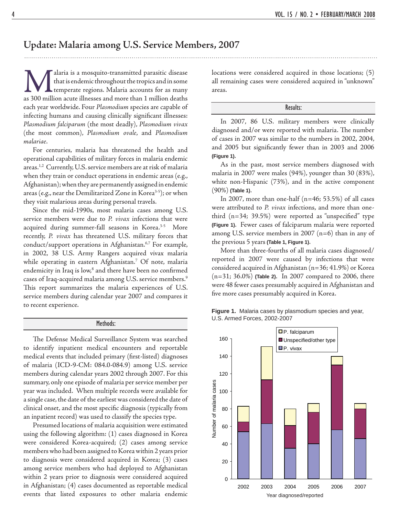### **Update: Malaria among U.S. Service Members, 2007**

Malaria is a mosquito-transmitted parasitic disease that is endemic throughout the tropics and in some temperate regions. Malaria accounts for as many as 300 million acute illnesses and more than 1 million deaths that is endemic throughout the tropics and in some temperate regions. Malaria accounts for as many each year worldwide. Four *Plasmodium* species are capable of infecting humans and causing clinically significant illnesses: *Plasmodium falciparum* (the most deadly), *Plasmodium vivax* (the most common), *Plasmodium ovale*, and *Plasmodium malariae*.

 For centuries, malaria has threatened the health and operational capabilities of military forces in malaria endemic areas.<sup>1,2</sup> Currently, U.S. service members are at risk of malaria when they train or conduct operations in endemic areas (e.g., Afghanistan); when they are permanently assigned in endemic areas (e.g., near the Demilitarized Zone in Korea<sup>3-5</sup>); or when they visit malarious areas during personal travels.

 Since the mid-1990s, most malaria cases among U.S. service members were due to *P. vivax* infections that were acquired during summer-fall seasons in Korea.3-5 More recently, *P. vivax* has threatened U.S. military forces that conduct/support operations in Afghanistan.<sup>6,7</sup> For example, in 2002, 38 U.S. Army Rangers acquired vivax malaria while operating in eastern Afghanistan.7 Of note, malaria endemicity in Iraq is low,<sup>8</sup> and there have been no confirmed cases of Iraq-acquired malaria among U.S. service members.9 This report summarizes the malaria experiences of U.S. service members during calendar year 2007 and compares it to recent experience.

#### Methods:

The Defense Medical Surveillance System was searched to identify inpatient medical encounters and reportable medical events that included primary (first-listed) diagnoses of malaria (ICD-9-CM: 084.0-084.9) among U.S. service members during calendar years 2002 through 2007. For this summary, only one episode of malaria per service member per year was included. When multiple records were available for a single case, the date of the earliest was considered the date of clinical onset, and the most specific diagnosis (typically from an inpatient record) was used to classify the species type.

 Presumed locations of malaria acquisition were estimated using the following algorithm: (1) cases diagnosed in Korea were considered Korea-acquired; (2) cases among service members who had been assigned to Korea within 2 years prior to diagnosis were considered acquired in Korea; (3) cases among service members who had deployed to Afghanistan within 2 years prior to diagnosis were considered acquired in Afghanistan; (4) cases documented as reportable medical events that listed exposures to other malaria endemic locations were considered acquired in those locations; (5) all remaining cases were considered acquired in "unknown" areas.

#### Results:

 In 2007, 86 U.S. military members were clinically diagnosed and/or were reported with malaria. The number of cases in 2007 was similar to the numbers in 2002, 2004, and 2005 but significantly fewer than in 2003 and 2006 **(Figure 1)**.

 As in the past, most service members diagnosed with malaria in 2007 were males (94%), younger than 30 (83%), white non-Hispanic (73%), and in the active component (90%) **(Table 1)**.

In 2007, more than one-half  $(n=46; 53.5%)$  of all cases were attributed to *P. vivax* infections, and more than onethird  $(n=34; 39.5%)$  were reported as "unspecified" type **(Figure 1)**. Fewer cases of falciparum malaria were reported among U.S. service members in 2007 ( $n=6$ ) than in any of the previous 5 years **(Table 1, Figure 1)**.

 More than three-fourths of all malaria cases diagnosed/ reported in 2007 were caused by infections that were considered acquired in Afghanistan (n=36; 41.9%) or Korea (n=31; 36.0%) **(Table 2)**. In 2007 compared to 2006, there were 48 fewer cases presumably acquired in Afghanistan and five more cases presumably acquired in Korea.



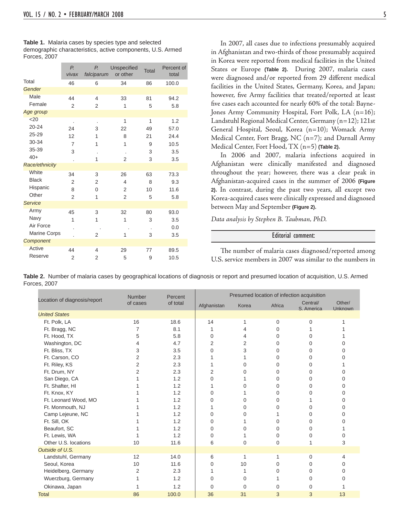| <b>Table 1.</b> Malaria cases by species type and selected |
|------------------------------------------------------------|
| demographic characteristics, active components, U.S. Armed |
| Forces, 2007                                               |

|                | P.<br>vivax    | Р.<br>falciparum         | <b>Unspecified</b><br>or other | <b>Total</b> | Percent of<br>total |
|----------------|----------------|--------------------------|--------------------------------|--------------|---------------------|
| Total          | 46             | 6                        | 34                             | 86           | 100.0               |
| Gender         |                |                          |                                |              |                     |
| <b>Male</b>    | 44             | $\overline{\mathcal{A}}$ | 33                             | 81           | 94.2                |
| Female         | $\overline{2}$ | $\overline{2}$           | 1                              | 5            | 5.8                 |
| Age group      |                |                          |                                |              |                     |
| $20$           |                | $\cdot$                  | 1                              | 1            | 1.2                 |
| $20 - 24$      | 24             | 3                        | 22                             | 49           | 57.0                |
| $25 - 29$      | 12             | 1                        | 8                              | 21           | 24.4                |
| 30-34          | 7              | 1                        | 1                              | 9            | 10.5                |
| 35-39          | 3              | ×                        |                                | 3            | 3.5                 |
| $40+$          |                | 1                        | $\overline{2}$                 | 3            | 3.5                 |
| Race/ethnicity |                |                          |                                |              |                     |
| White          | 34             | 3                        | 26                             | 63           | 73.3                |
| <b>Black</b>   | $\overline{2}$ | 2                        | 4                              | 8            | 9.3                 |
| Hispanic       | 8              | $\Omega$                 | $\overline{2}$                 | 10           | 11.6                |
| Other          | $\overline{2}$ | 1                        | $\overline{2}$                 | 5            | 5.8                 |
| <b>Service</b> |                |                          |                                |              |                     |
| Army           | 45             | 3                        | 32                             | 80           | 93.0                |
| Navy           | 1              | 1                        | 1                              | 3            | 3.5                 |
| Air Force      |                |                          |                                |              | 0.0                 |
| Marine Corps   |                | $\overline{2}$           | 1                              | 3            | 3.5                 |
| Component      |                |                          |                                |              |                     |
| <b>Active</b>  | 44             | 4                        | 29                             | 77           | 89.5                |
| Reserve        | $\overline{2}$ | 2                        | 5                              | 9            | 10.5                |

 In 2007, all cases due to infections presumably acquired in Afghanistan and two-thirds of those presumably acquired in Korea were reported from medical facilities in the United States or Europe **(Table 2)**. During 2007, malaria cases were diagnosed and/or reported from 29 different medical facilities in the United States, Germany, Korea, and Japan; however, five Army facilities that treated/reported at least five cases each accounted for nearly 60% of the total: Bayne-Jones Army Community Hospital, Fort Polk, LA (n=16); Landstuhl Regional Medical Center, Germany (n=12); 121st General Hospital, Seoul, Korea (n=10); Womack Army Medical Center, Fort Bragg, NC (n=7); and Darnall Army Medical Center, Fort Hood, TX (n=5) **(Table 2)**.

 In 2006 and 2007, malaria infections acquired in Afghanistan were clinically manifested and diagnosed throughout the year; however, there was a clear peak in Afghanistan-acquired cases in the summer of 2006 **(Figure 2)**. In contrast, during the past two years, all except two Korea-acquired cases were clinically expressed and diagnosed between May and September **(Figure 2)**.

*Data analysis by Stephen B. Taubman, PhD.*

#### Editorial comment:

The number of malaria cases diagnosed/reported among U.S. service members in 2007 was similar to the numbers in

|                              | <b>Number</b>  | Percent  | Presumed location of infection acquisition |       |          |                        |                          |  |  |
|------------------------------|----------------|----------|--------------------------------------------|-------|----------|------------------------|--------------------------|--|--|
| Location of diagnosis/report | of cases       | of total | Afghanistan                                | Korea | Africa   | Central/<br>S. America | Other/<br><b>Unknown</b> |  |  |
| <b>United States</b>         |                |          |                                            |       |          |                        |                          |  |  |
| Ft. Polk, LA                 | 16             | 18.6     | 14                                         |       | 0        | 0                      |                          |  |  |
| Ft. Bragg, NC                | 7              | 8.1      |                                            |       | 0        |                        |                          |  |  |
| Ft. Hood, TX                 | 5              | 5.8      | 0                                          |       | 0        | 0                      |                          |  |  |
| Washington, DC               | 4              | 4.7      | 2                                          | 2     | 0        | 0                      |                          |  |  |
| Ft. Bliss, TX                | 3              | 3.5      | 0                                          | 3     | 0        | 0                      |                          |  |  |
| Ft. Carson, CO               | $\overline{2}$ | 2.3      |                                            |       | 0        | 0                      |                          |  |  |
| Ft. Riley, KS                | $\overline{2}$ | 2.3      |                                            | O     | 0        | 0                      |                          |  |  |
| Ft. Drum, NY                 | $\overline{2}$ | 2.3      | 2                                          | O     | 0        | $\Omega$               |                          |  |  |
| San Diego, CA                |                | 1.2      | 0                                          |       | 0        | $\Omega$               |                          |  |  |
| Ft. Shafter, HI              |                | 1.2      |                                            |       | 0        | 0                      |                          |  |  |
| Ft. Knox, KY                 |                | 1.2      | 0                                          |       | 0        | 0                      |                          |  |  |
| Ft. Leonard Wood, MO         |                | 1.2      | 0                                          | 0     | 0        |                        |                          |  |  |
| Ft. Monmouth, NJ             |                | 1.2      |                                            | 0     | 0        | 0                      |                          |  |  |
| Camp Lejeune, NC             |                | 1.2      | 0                                          | O     |          | 0                      |                          |  |  |
| Ft. Sill, OK                 |                | 1.2      | 0                                          |       | 0        | 0                      |                          |  |  |
| Beaufort, SC                 |                | 1.2      | 0                                          | U     | 0        | $\Omega$               |                          |  |  |
| Ft. Lewis, WA                |                | 1.2      | 0                                          |       | U        | 0                      |                          |  |  |
| Other U.S. locations         | 10             | 11.6     | 6                                          | 0     | $\Omega$ |                        | 3                        |  |  |
| Outside of U.S.              |                |          |                                            |       |          |                        |                          |  |  |
| Landstuhl, Germany           | 12             | 14.0     | 6                                          | 1     |          | 0                      | 4                        |  |  |
| Seoul, Korea                 | 10             | 11.6     | 0                                          | 10    | O        | 0                      |                          |  |  |
| Heidelberg, Germany          | 2              | 2.3      |                                            |       | 0        | $\Omega$               |                          |  |  |
| Wuerzburg, Germany           |                | 1.2      | 0                                          | 0     |          | 0                      |                          |  |  |
| Okinawa, Japan               |                | 1.2      | 0                                          | 0     | 0        | $\Omega$               |                          |  |  |
| <b>Total</b>                 | 86             | 100.0    | 36                                         | 31    | 3        | 3                      | 13                       |  |  |

**Table 2.** Number of malaria cases by geographical locations of diagnosis or report and presumed location of acquisition, U.S. Armed Forces, 2007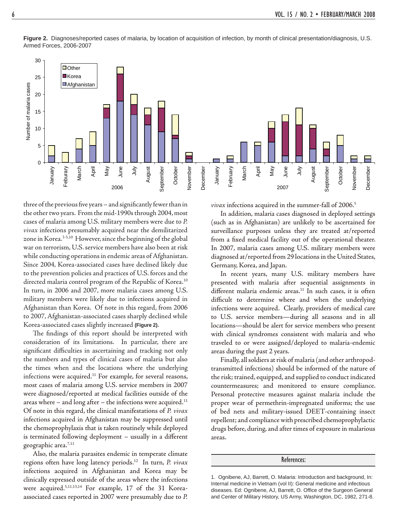

**Figure 2.** Diagnoses/reported cases of malaria, by location of acquisition of infection, by month of clinical presentation/diagnosis, U.S. Armed Forces, 2006-2007

three of the previous five years – and significantly fewer than in the other two years. From the mid-1990s through 2004, most cases of malaria among U.S. military members were due to *P. vivax* infections presumably acquired near the demilitarized zone in Korea.3-5,10 However, since the beginning of the global war on terrorism, U.S. service members have also been at risk while conducting operations in endemic areas of Afghanistan. Since 2004, Korea-associated cases have declined likely due to the prevention policies and practices of U.S. forces and the directed malaria control program of the Republic of Korea.<sup>10</sup> In turn, in 2006 and 2007, more malaria cases among U.S. military members were likely due to infections acquired in Afghanistan than Korea. Of note in this regard, from 2006 to 2007, Afghanistan-associated cases sharply declined while Korea-associated cases slightly increased **(Figure 2)**.

The findings of this report should be interpreted with consideration of its limitations. In particular, there are significant difficulties in ascertaining and tracking not only the numbers and types of clinical cases of malaria but also the times when and the locations where the underlying infections were acquired.<sup>11</sup> For example, for several reasons, most cases of malaria among U.S. service members in 2007 were diagnosed/reported at medical facilities outside of the areas where  $-$  and long after  $-$  the infections were acquired.<sup>11</sup> Of note in this regard, the clinical manifestations of *P. vivax* infections acquired in Afghanistan may be suppressed until the chemoprophylaxis that is taken routinely while deployed is terminated following deployment - usually in a different geographic area.7,11

 Also, the malaria parasites endemic in temperate climate regions often have long latency periods.12 In turn, *P. vivax* infections acquired in Afghanistan and Korea may be clinically expressed outside of the areas where the infections were acquired.5,11,13,14 For example, 17 of the 31 Koreaassociated cases reported in 2007 were presumably due to *P.* 

*vivax* infections acquired in the summer-fall of 2006.<sup>5</sup>

 In addition, malaria cases diagnosed in deployed settings (such as in Afghanistan) are unlikely to be ascertained for surveillance purposes unless they are treated at/reported from a fixed medical facility out of the operational theater. In 2007, malaria cases among U.S. military members were diagnosed at/reported from 29 locations in the United States, Germany, Korea, and Japan.

 In recent years, many U.S. military members have presented with malaria after sequential assignments in different malaria endemic areas.<sup>11</sup> In such cases, it is often difficult to determine where and when the underlying infections were acquired. Clearly, providers of medical care to U.S. service members—during all seasons and in all locations—should be alert for service members who present with clinical syndromes consistent with malaria and who traveled to or were assigned/deployed to malaria-endemic areas during the past 2 years.

 Finally, all soldiers at risk of malaria (and other arthropodtransmitted infections) should be informed of the nature of the risk; trained, equipped, and supplied to conduct indicated countermeasures; and monitored to ensure compliance. Personal protective measures against malaria include the proper wear of permethrin-impregnated uniforms; the use of bed nets and military-issued DEET-containing insect repellent; and compliance with prescribed chemoprophylactic drugs before, during, and after times of exposure in malarious areas.

References:

<sup>1.</sup> Ognibene, AJ, Barrett, O. Malaria: Introduction and background, In: Internal medicine in Vietnam (vol II): General medicine and infectious diseases. Ed: Ognibene, AJ, Barrett, O. Office of the Surgeon General and Center of Military History, US Army, Washington, DC, 1982, 271-8.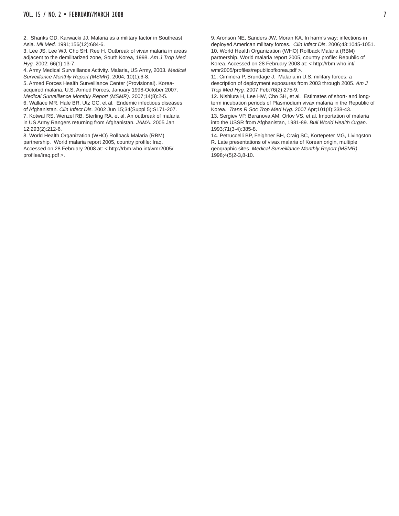2. Shanks GD, Karwacki JJ. Malaria as a military factor in Southeast Asia. *Mil Med.* 1991;156(12):684-6.

3. Lee JS, Lee WJ, Cho SH, Ree H. Outbreak of vivax malaria in areas adjacent to the demilitarized zone, South Korea, 1998. *Am J Trop Med Hyg.* 2002; 66(1):13-7.

4. Army Medical Surveillance Activity. Malaria, US Army, 2003. *Medical Surveillance Monthly Report (MSMR)*. 2004; 10(1):6-8.

5. Armed Forces Health Surveillance Center (Provisional). Koreaacquired malaria, U.S. Armed Forces, January 1998-October 2007. *Medical Surveillance Monthly Report (MSMR)*. 2007;14(8):2-5. 6. Wallace MR, Hale BR, Utz GC, et al. Endemic infectious diseases of Afghanistan. *Clin Infect Dis.* 2002 Jun 15;34(Suppl 5):S171-207. 7. Kotwal RS, Wenzel RB, Sterling RA, et al. An outbreak of malaria in US Army Rangers returning from Afghanistan. *JAMA*. 2005 Jan 12;293(2):212-6.

8. World Health Organization (WHO) Rollback Malaria (RBM) partnership. World malaria report 2005, country profile: Iraq. Accessed on 28 February 2008 at: < http://rbm.who.int/wmr2005/ profiles/iraq.pdf >.

9. Aronson NE, Sanders JW, Moran KA. In harm's way: infections in deployed American military forces. *Clin Infect Dis*. 2006;43:1045-1051. 10. World Health Organization (WHO) Rollback Malaria (RBM) partnership. World malaria report 2005, country profile: Republic of Korea. Accessed on 28 February 2008 at: < http://rbm.who.int/ wmr2005/profiles/republicofkorea.pdf >.

11. Ciminera P, Brundage J. Malaria in U.S. military forces: a description of deployment exposures from 2003 through 2005. *Am J Trop Med Hyg.* 2007 Feb;76(2):275-9.

12. Nishiura H, Lee HW, Cho SH, et al. Estimates of short- and longterm incubation periods of Plasmodium vivax malaria in the Republic of Korea. *Trans R Soc Trop Med Hyg*. 2007 Apr;101(4):338-43. 13. Sergiev VP, Baranova AM, Orlov VS, et al. Importation of malaria

into the USSR from Afghanistan, 1981-89. *Bull World Health Organ*. 1993;71(3-4):385-8.

14. Petruccelli BP, Feighner BH, Craig SC, Kortepeter MG, Livingston R. Late presentations of vivax malaria of Korean origin, multiple geographic sites. *Medical Surveillance Monthly Report (MSMR)*. 1998;4(5)2-3,8-10.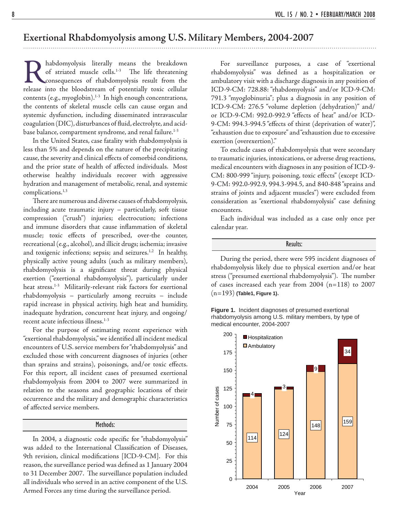### **Exertional Rhabdomyolysis among U.S. Military Members, 2004-2007**

**Rhabdomyolysis literally means the breakdown** of striated muscle cells.<sup>1-3</sup> The life threatening consequences of rhabdomyolysis result from the release into the bloodstream of potentially toxic cellular of striated muscle cells.<sup>1-3</sup> The life threatening consequences of rhabdomyolysis result from the contents (e.g., myoglobin). $1-3$  In high enough concentrations, the contents of skeletal muscle cells can cause organ and systemic dysfunction, including disseminated intravascular coagulation (DIC), disturbances of fluid, electrolyte, and acidbase balance, compartment syndrome, and renal failure.<sup>1-3</sup>

 In the United States, case fatality with rhabdomyolysis is less than 5% and depends on the nature of the precipitating cause, the severity and clinical effects of comorbid conditions, and the prior state of health of affected individuals. Most otherwise healthy individuals recover with aggressive hydration and management of metabolic, renal, and systemic complications.1,3

There are numerous and diverse causes of rhabdomyolysis, including acute traumatic injury – particularly, soft tissue compression ("crush") injuries; electrocution; infections and immune disorders that cause inflammation of skeletal muscle; toxic effects of prescribed, over-the counter, recreational (e.g., alcohol), and illicit drugs; ischemia; invasive and toxigenic infections; sepsis; and seizures.<sup>1,2</sup> In healthy, physically active young adults (such as military members), rhabdomyolysis is a significant threat during physical exertion ("exertional rhabdomyolysis"), particularly under heat stress.<sup>1-3</sup> Militarily-relevant risk factors for exertional rhabdomyolysis – particularly among recruits – include rapid increase in physical activity, high heat and humidity, inadequate hydration, concurrent heat injury, and ongoing/ recent acute infectious illness.<sup>1-3</sup>

 For the purpose of estimating recent experience with "exertional rhabdomyolysis," we identified all incident medical encounters of U.S. service members for "rhabdomyolysis" and excluded those with concurrent diagnoses of injuries (other than sprains and strains), poisonings, and/or toxic effects. For this report, all incident cases of presumed exertional rhabdomyolysis from 2004 to 2007 were summarized in relation to the seasons and geographic locations of their occurrence and the military and demographic characteristics of affected service members.

#### Methods:

In 2004, a diagnostic code specific for "rhabdomyolysis" was added to the International Classification of Diseases, 9th revision, clinical modifications [ICD-9-CM]. For this reason, the surveillance period was defined as 1 January 2004 to 31 December 2007. The surveillance population included all individuals who served in an active component of the U.S. Armed Forces any time during the surveillance period.

 For surveillance purposes, a case of "exertional rhabdomyolysis" was defined as a hospitalization or ambulatory visit with a discharge diagnosis in any position of ICD-9-CM: 728.88: "rhabdomyolysis" and/or ICD-9-CM: 791.3 "myoglobinuria"; plus a diagnosis in any position of ICD-9-CM: 276.5 "volume depletion (dehydration)" and/ or ICD-9-CM: 992.0-992.9 "effects of heat" and/or ICD-9-CM: 994.3-994.5 "effects of thirst (deprivation of water)", "exhaustion due to exposure" and "exhaustion due to excessive exertion (overexertion)."

 To exclude cases of rhabdomyolysis that were secondary to traumatic injuries, intoxications, or adverse drug reactions, medical encounters with diagnoses in any position of ICD-9- CM: 800-999 "injury, poisoning, toxic effects" (except ICD-9-CM: 992.0-992.9, 994.3-994.5, and 840-848 "sprains and strains of joints and adjacent muscles") were excluded from consideration as "exertional rhabdomyolysis" case defining encounters.

 Each individual was included as a case only once per calendar year.

Results:

 During the period, there were 595 incident diagnoses of rhabdomyolysis likely due to physical exertion and/or heat stress ("presumed exertional rhabdomyolysis"). The number of cases increased each year from 2004 (n=118) to 2007 (n=193) **(Table1, Figure 1)**.

**Figure 1.** Incident diagnoses of presumed exertional rhabdomyolysis among U.S. military members, by type of medical encounter, 2004-2007

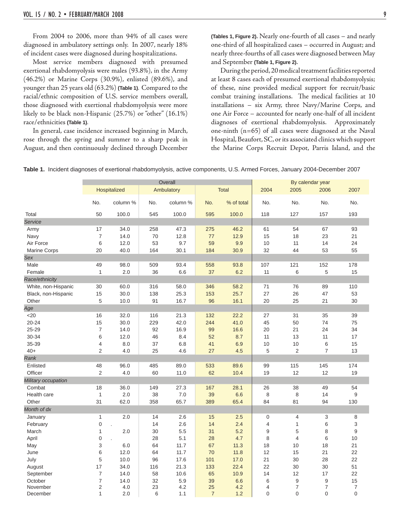From 2004 to 2006, more than 94% of all cases were diagnosed in ambulatory settings only. In 2007, nearly 18% of incident cases were diagnosed during hospitalizations.

 Most service members diagnosed with presumed exertional rhabdomyolysis were males (93.8%), in the Army (46.2%) or Marine Corps (30.9%), enlisted (89.6%), and younger than 25 years old (63.2%) **(Table 1)**. Compared to the racial/ethnic composition of U.S. service members overall, those diagnosed with exertional rhabdomyolysis were more likely to be black non-Hispanic (25.7%) or "other" (16.1%) race/ethnicities **(Table 1)**.

 In general, case incidence increased beginning in March, rose through the spring and summer to a sharp peak in August, and then continuously declined through December

**(Tables 1, Figure 2)**. Nearly one-fourth of all cases – and nearly one-third of all hospitalized cases – occurred in August; and nearly three-fourths of all cases were diagnosed between May and September **(Table 1, Figure 2)**.

 During the period, 20 medical treatment facilities reported at least 8 cases each of presumed exertional rhabdomyolysis; of these, nine provided medical support for recruit/basic combat training installations. The medical facilities at 10 installations – six Army, three Navy/Marine Corps, and one Air Force – accounted for nearly one-half of all incident diagnoses of exertional rhabdomyolysis. Approximately one-ninth (n=65) of all cases were diagnosed at the Naval Hospital, Beaufort, SC, or its associated clinics which support the Marine Corps Recruit Depot, Parris Island, and the

|                     |                     |              |          | Overall    |                |              |                     | By calendar year                   |                     |                        |  |
|---------------------|---------------------|--------------|----------|------------|----------------|--------------|---------------------|------------------------------------|---------------------|------------------------|--|
|                     |                     | Hospitalized |          | Ambulatory |                | <b>Total</b> | 2004                | 2005                               | 2006                | 2007                   |  |
|                     | No.                 | column %     | No.      | column %   | No.            | % of total   | No.                 | No.                                | No.                 | No.                    |  |
| Total               | 50                  | 100.0        | 545      | 100.0      | 595            | 100.0        | 118                 | 127                                | 157                 | 193                    |  |
| Service             |                     |              |          |            |                |              |                     |                                    |                     |                        |  |
| Army                | 17                  | 34.0         | 258      | 47.3       | 275            | 46.2         | 61                  | 54                                 | 67                  | 93                     |  |
| Navy                | $\boldsymbol{7}$    | 14.0         | 70       | 12.8       | 77             | 12.9         | 15                  | 18                                 | 23                  | 21                     |  |
| Air Force           | 6                   | 12.0         | 53       | 9.7        | 59             | 9.9          | 10                  | 11                                 | 14                  | 24                     |  |
| <b>Marine Corps</b> | 20                  | 40.0         | 164      | 30.1       | 184            | 30.9         | 32                  | 44                                 | 53                  | 55                     |  |
| Sex                 |                     |              |          |            |                |              |                     |                                    |                     |                        |  |
| Male                | 49                  | 98.0         | 509      | 93.4       | 558            | 93.8         | 107                 | 121                                | 152                 | 178                    |  |
| Female              | $\mathbf{1}$        | 2.0          | 36       | 6.6        | 37             | 6.2          | 11                  | 6                                  | 5                   | 15                     |  |
| Race/ethnicity      |                     |              |          |            |                |              |                     |                                    |                     |                        |  |
| White, non-Hispanic | 30                  | 60.0         | 316      | 58.0       | 346            | 58.2         | 71                  | 76                                 | 89                  | 110                    |  |
| Black, non-Hispanic | 15                  | 30.0         | 138      | 25.3       | 153            | 25.7         | 27                  | 26                                 | 47                  | 53                     |  |
| Other               | 5                   | 10.0         | 91       | 16.7       | 96             | 16.1         | 20                  | 25                                 | 21                  | 30                     |  |
| Age                 |                     |              |          |            |                |              |                     |                                    |                     |                        |  |
| $<$ 20              | 16                  | 32.0         | 116      | 21.3       | 132            | 22.2         | 27                  | 31                                 | 35                  | 39                     |  |
| $20 - 24$           | 15                  | 30.0         | 229      | 42.0       | 244            | 41.0         | 45                  | 50                                 | 74                  | 75                     |  |
| 25-29               | $\boldsymbol{7}$    | 14.0         | 92       | 16.9       | 99             | 16.6         | 20                  | 21                                 | 24                  | 34                     |  |
| 30-34               | 6                   | 12.0         | 46       | 8.4        | 52             | 8.7          | 11                  | 13                                 | 11                  | 17                     |  |
| 35-39               | 4                   | 8.0          | 37       | 6.8        | 41             | 6.9          | 10                  | 10                                 | $\,6$               | 15                     |  |
| $40+$               | $\overline{2}$      | 4.0          | 25       | 4.6        | 27             | 4.5          | 5                   | $\overline{2}$                     | 7                   | 13                     |  |
| Rank                |                     |              |          |            |                |              |                     |                                    |                     |                        |  |
| Enlisted            | 48                  | 96.0         | 485      | 89.0       | 533            | 89.6         | 99                  | 115                                | 145                 | 174                    |  |
| Officer             | 2                   | 4.0          | 60       | 11.0       | 62             | 10.4         | 19                  | 12                                 | 12                  | 19                     |  |
| Military occupation |                     |              |          |            |                |              |                     |                                    |                     |                        |  |
| Combat              | 18                  | 36.0         | 149      | 27.3       | 167            | 28.1         | 26                  | 38                                 | 49                  | 54                     |  |
| Health care         | $\mathbf{1}$        | 2.0          | 38       | 7.0        | 39             | 6.6          | 8                   | 8                                  | 14                  | 9                      |  |
| Other               | 31                  | 62.0         | 358      | 65.7       | 389            | 65.4         | 84                  | 81                                 | 94                  | 130                    |  |
| Month of dx         |                     |              |          |            |                |              |                     |                                    |                     |                        |  |
|                     |                     | 2.0          | 14       | 2.6        |                |              |                     | $\overline{4}$                     |                     |                        |  |
| January             | $\mathbf{1}$        |              |          |            | 15             | 2.5<br>2.4   | 0<br>$\overline{4}$ |                                    | 3                   | 8                      |  |
| February            | $\boldsymbol{0}$    | 2.0          | 14<br>30 | 2.6<br>5.5 | 14<br>31       | 5.2          | 9                   | $\mathbf{1}$                       | 6                   | 3<br>9                 |  |
| March               | 1                   |              | 28       | 5.1        |                | 4.7          | 8                   | 5<br>$\overline{4}$                | 8<br>$\,$ 6         | 10                     |  |
| April               | 0                   |              |          |            | 28             |              |                     |                                    |                     |                        |  |
| May                 | 3                   | 6.0          | 64       | 11.7       | 67             | 11.3         | 18                  | 10                                 | 18                  | 21                     |  |
| June                | 6                   | 12.0         | 64       | 11.7       | 70             | 11.8         | 12                  | 15                                 | 21                  | 22                     |  |
| July                | 5                   | 10.0         | 96       | 17.6       | 101            | 17.0         | 21                  | 30                                 | 28                  | 22                     |  |
| August              | 17                  | 34.0         | 116      | 21.3       | 133            | 22.4         | 22                  | 30                                 | 30                  | 51                     |  |
| September           | $\overline{7}$      | 14.0         | 58       | 10.6       | 65             | 10.9         | 14                  | 12                                 | 17                  | 22                     |  |
| October<br>November | $\overline{7}$<br>2 | 14.0<br>4.0  | 32<br>23 | 5.9<br>4.2 | 39<br>25       | 6.6<br>4.2   | 6<br>$\overline{4}$ | $\boldsymbol{9}$<br>$\overline{7}$ | 9<br>$\overline{7}$ | 15<br>$\boldsymbol{7}$ |  |
| December            | 1                   | 2.0          | 6        | 1.1        | $\overline{7}$ | 1.2          | $\Omega$            | $\overline{0}$                     | $\overline{0}$      | $\mathbf 0$            |  |
|                     |                     |              |          |            |                |              |                     |                                    |                     |                        |  |

**Table 1.** Incident diagnoses of exertional rhabdomyolysis, active components, U.S. Armed Forces, January 2004-December 2007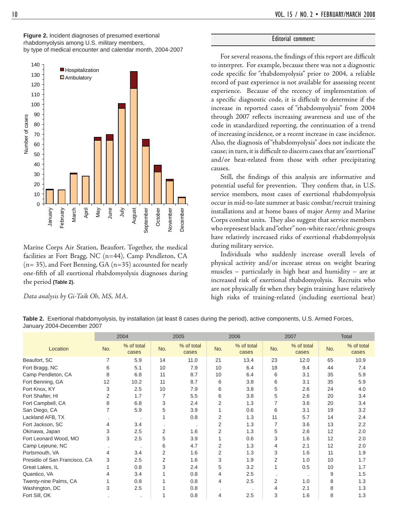**Figure 2.** Incident diagnoses of presumed exertional rhabdomyolysis among U.S. military members, by type of medical encounter and calendar month, 2004-2007



Marine Corps Air Station, Beaufort. Together, the medical facilities at Fort Bragg, NC (n=44), Camp Pendleton, CA  $(n= 35)$ , and Fort Benning, GA  $(n=35)$  accounted for nearly one-fifth of all exertional rhabdomyolysis diagnoses during the period **(Table 2)**.

*Data analysis by Gi-Taik Oh, MS, MA.*

### Editorial comment:

For several reasons, the findings of this report are difficult to interpret. For example, because there was not a diagnostic code specific for "rhabdomyolysis" prior to 2004, a reliable record of past experience is not available for assessing recent experience. Because of the recency of implementation of a specific diagnostic code, it is difficult to determine if the increase in reported cases of "rhabdomyolysis" from 2004 through 2007 reflects increasing awareness and use of the code in standardized reporting, the continuation of a trend of increasing incidence, or a recent increase in case incidence. Also, the diagnosis of "rhabdomyolysis" does not indicate the cause; in turn, it is difficult to discern cases that are "exertional" and/or heat-related from those with other precipitating causes.

Still, the findings of this analysis are informative and potential useful for prevention. They confirm that, in U.S. service members, most cases of exertional rhabdomyolysis occur in mid-to-late summer at basic combat/recruit training installations and at home bases of major Army and Marine Corps combat units. They also suggest that service members who represent black and "other" non-white race/ethnic groups have relatively increased risks of exertional rhabdomyolysis during military service.

 Individuals who suddenly increase overall levels of physical activity and/or increase stress on weight bearing muscles – particularly in high heat and humidity – are at increased risk of exertional rhabdomyolysis. Recruits who are not physically fit when they begin training have relatively high risks of training-related (including exertional heat)

| Table 2. Exertional rhabdomyolysis, by installation (at least 8 cases during the period), active components, U.S. Armed Forces, |  |  |  |
|---------------------------------------------------------------------------------------------------------------------------------|--|--|--|
| January 2004-December 2007                                                                                                      |  |  |  |

|                               | 2004           |                     | 2005 |                     |                | 2006                | 2007 |                     | <b>Total</b> |                     |  |
|-------------------------------|----------------|---------------------|------|---------------------|----------------|---------------------|------|---------------------|--------------|---------------------|--|
| Location                      | No.            | % of total<br>cases | No.  | % of total<br>cases | No.            | % of total<br>cases | No.  | % of total<br>cases | No.          | % of total<br>cases |  |
| Beaufort, SC                  | 7              | 5.9                 | 14   | 11.0                | 21             | 13.4                | 23   | 12.0                | 65           | 10.9                |  |
| Fort Bragg, NC                | 6              | 5.1                 | 10   | 7.9                 | 10             | 6.4                 | 18   | 9.4                 | 44           | 7.4                 |  |
| Camp Pendleton, CA            | 8              | 6.8                 | 11   | 8.7                 | 10             | 6.4                 | 6    | 3.1                 | 35           | 5.9                 |  |
| Fort Benning, GA              | 12             | 10.2                | 11   | 8.7                 | 6              | 3.8                 | 6    | 3.1                 | 35           | 5.9                 |  |
| Fort Knox, KY                 | 3              | 2.5                 | 10   | 7.9                 | 6              | 3.8                 | 5    | 2.6                 | 24           | 4.0                 |  |
| Fort Shafter, HI              | 2              | 1.7                 | 7    | 5.5                 | 6              | 3.8                 | 5    | 2.6                 | 20           | 3.4                 |  |
| Fort Campbell, CA             | 8              | 6.8                 | 3    | 2.4                 | 2              | 1.3                 | 7    | 3.6                 | 20           | 3.4                 |  |
| San Diego, CA                 | $\overline{7}$ | 5.9                 | 5    | 3.9                 | 1              | 0.6                 | 6    | 3.1                 | 19           | 3.2                 |  |
| Lackland AFB, TX              |                | $\cdot$             | 1    | 0.8                 | 2              | 1.3                 | 11   | 5.7                 | 14           | 2.4                 |  |
| Fort Jackson, SC              | 4              | 3.4                 |      | $\cdot$             | 2              | 1.3                 | 7    | 3.6                 | 13           | 2.2                 |  |
| Okinawa, Japan                | 3              | 2.5                 | 2    | 1.6                 | $\overline{2}$ | 1.3                 | 5    | 2.6                 | 12           | 2.0                 |  |
| Fort Leonard Wood, MO         | 3              | 2.5                 | 5    | 3.9                 | 1              | 0.6                 | 3    | 1.6                 | 12           | 2.0                 |  |
| Camp Lejeune, NC              |                | $\cdot$             | 6    | 4.7                 | $\overline{2}$ | 1.3                 | 4    | 2.1                 | 12           | 2.0                 |  |
| Portsmouth, VA                | 4              | 3.4                 | 2    | 1.6                 | 2              | 1.3                 | 3    | 1.6                 | 11           | 1.9                 |  |
| Presidio of San Francisco, CA | 3              | 2.5                 | 2    | 1.6                 | 3              | 1.9                 | 2    | 1.0                 | 10           | 1.7                 |  |
| Great Lakes, IL               |                | 0.8                 | 3    | 2.4                 | 5              | 3.2                 | 1    | 0.5                 | 10           | 1.7                 |  |
| Quantico, VA                  | 4              | 3.4                 |      | 0.8                 | 4              | 2.5                 |      | $\cdot$             | 9            | 1.5                 |  |
| Twenty-nine Palms, CA         |                | 0.8                 |      | 0.8                 | 4              | 2.5                 | 2    | 1.0                 | 8            | 1.3                 |  |
| Washington, DC                | 3              | 2.5                 |      | 0.8                 | $\cdot$        |                     | 4    | 2.1                 | 8            | 1.3                 |  |
| Fort Sill, OK                 |                |                     |      | 0.8                 | 4              | 2.5                 | 3    | 1.6                 | 8            | 1.3                 |  |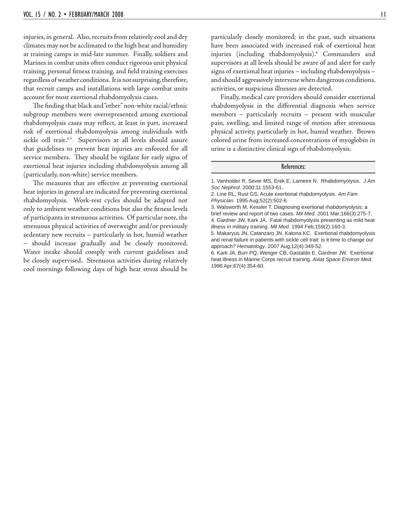injuries, in general. Also, recruits from relatively cool and dry climates may not be acclimated to the high heat and humidity at training camps in mid-late summer. Finally, soldiers and Marines in combat units often conduct rigorous unit physical training, personal fitness training, and field training exercises regardless of weather conditions. It is not surprising, therefore, that recruit camps and installations with large combat units account for most exertional rhabdomyolysis cases.

The finding that black and "other" non-white racial/ethnic subgroup members were overrepresented among exertional rhabdomyolysis cases may reflect, at least in part, increased risk of exertional rhabdomyolysis among individuals with sickle cell trait.<sup>4,5</sup> Supervisors at all levels should assure that guidelines to prevent heat injuries are enforced for all service members. They should be vigilant for early signs of exertional heat injuries including rhabdomyolysis among all (particularly, non-white) service members.

The measures that are effective at preventing exertional heat injuries in general are indicated for preventing exertional rhabdomyolysis. Work-rest cycles should be adapted not only to ambient weather conditions but also the fitness levels of participants in strenuous activities. Of particular note, the strenuous physical activities of overweight and/or previously sedentary new recruits – particularly in hot, humid weather – should increase gradually and be closely monitored. Water intake should comply with current guidelines and be closely supervised. Strenuous activities during relatively cool mornings following days of high heat stress should be

particularly closely monitored; in the past, such situations have been associated with increased risk of exertional heat injuries (including rhabdomyolysis).6 Commanders and supervisors at all levels should be aware of and alert for early signs of exertional heat injuries – including rhabdomyolysis – and should aggressively intervene when dangerous conditions, activities, or suspicious illnesses are detected.

 Finally, medical care providers should consider exertional rhabdomyolysis in the differential diagnosis when service members – particularly recruits – present with muscular pain, swelling, and limited range of motion after strenuous physical activity, particularly in hot, humid weather. Brown colored urine from increased concentrations of myoglobin in urine is a distinctive clinical sign of rhabdomyolysis.

#### References:

1. Vanholder R, Sever MS, Erek E, Lameire N. Rhabdomyolysis. *J Am Soc Nephrol*. 2000;11:1553-61.

6. Kark JA, Burr PQ, Wenger CB, Gastaldo E, Gardner JW. Exertional heat illness in Marine Corps recruit training. *Aviat Space Environ Med*. 1996 Apr;67(4):354-60.

<sup>2.</sup> Line RL, Rust GS. Acute exertional rhabdomyolysis. *Am Fam Physician*. 1995 Aug;52(2):502-6.

<sup>3.</sup> Walsworth M, Kessler T. Diagnosing exertional rhabdomyolysis: a brief review and report of two cases. *Mil Med*. 2001 Mar;166(3):275-7. 4. Gardner JW, Kark JA. Fatal rhabdomyolysis presenting as mild heat illness in military training. *Mil Med.* 1994 Feb;159(2):160-3.

<sup>5.</sup> Makaryus JN, Catanzaro JN, Katona KC. Exertional rhabdomyolysis and renal failure in patients with sickle cell trait: is it time to change our approach? *Hematology*. 2007 Aug;12(4):349-52.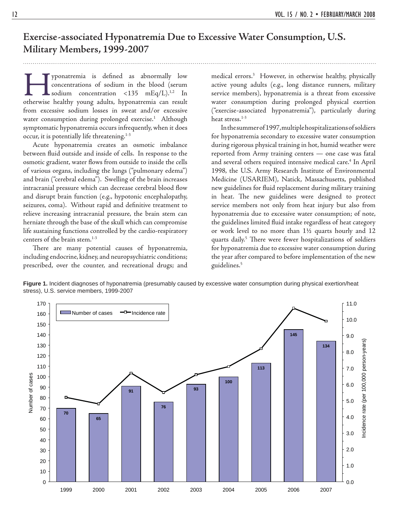### **Exercise-associated Hyponatremia Due to Excessive Water Consumption, U.S. Military Members, 1999-2007**

Fyponatremia is defined as abnormally low concentrations of sodium in the blood (serum sodium concentration <135 mEq/L).<sup>1,2</sup> In otherwise healthy young adults, hyponatremia can result concentrations of sodium in the blood (serum sodium concentration <135 mEq/L).<sup>1,2</sup> In from excessive sodium losses in sweat and/or excessive water consumption during prolonged exercise.<sup>1</sup> Although symptomatic hyponatremia occurs infrequently, when it does occur, it is potentially life threatening.<sup>1-3</sup>

 Acute hyponatremia creates an osmotic imbalance between fluid outside and inside of cells. In response to the osmotic gradient, water flows from outside to inside the cells of various organs, including the lungs ("pulmonary edema") and brain ("cerebral edema"). Swelling of the brain increases intracranial pressure which can decrease cerebral blood flow and disrupt brain function (e.g., hypotonic encephalopathy, seizures, coma). Without rapid and definitive treatment to relieve increasing intracranial pressure, the brain stem can herniate through the base of the skull which can compromise life sustaining functions controlled by the cardio-respiratory centers of the brain stem.<sup>1-3</sup>

There are many potential causes of hyponatremia, including endocrine, kidney, and neuropsychiatric conditions; prescribed, over the counter, and recreational drugs; and

medical errors.3 However, in otherwise healthy, physically active young adults (e.g., long distance runners, military service members), hyponatremia is a threat from excessive water consumption during prolonged physical exertion ("exercise-associated hyponatremia"), particularly during heat stress.<sup>1-3</sup>

 In the summer of 1997, multiple hospitalizations of soldiers for hyponatremia secondary to excessive water consumption during rigorous physical training in hot, humid weather were reported from Army training centers — one case was fatal and several others required intensive medical care.<sup>4</sup> In April 1998, the U.S. Army Research Institute of Environmental Medicine (USARIEM), Natick, Massachusetts, published new guidelines for fluid replacement during military training in heat. The new guidelines were designed to protect service members not only from heat injury but also from hyponatremia due to excessive water consumption; of note, the guidelines limited fluid intake regardless of heat category or work level to no more than 1½ quarts hourly and 12 quarts daily.<sup>5</sup> There were fewer hospitalizations of soldiers for hyponatremia due to excessive water consumption during the year after compared to before implementation of the new guidelines.5



**Figure 1.** Incident diagnoses of hyponatremia (presumably caused by excessive water consumption during physical exertion/heat stress), U.S. service members, 1999-2007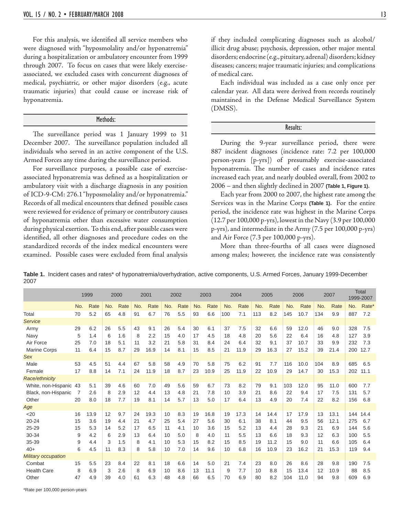For this analysis, we identified all service members who were diagnosed with "hyposmolality and/or hyponatremia" during a hospitalization or ambulatory encounter from 1999 through 2007. To focus on cases that were likely exerciseassociated, we excluded cases with concurrent diagnoses of medical, psychiatric, or other major disorders (e.g., acute traumatic injuries) that could cause or increase risk of hyponatremia.

#### Methods:

The surveillance period was 1 January 1999 to 31 December 2007. The surveillance population included all individuals who served in an active component of the U.S. Armed Forces any time during the surveillance period.

 For surveillance purposes, a possible case of exerciseassociated hyponatremia was defined as a hospitalization or ambulatory visit with a discharge diagnosis in any position of ICD-9-CM: 276.1 "hyposmolality and/or hyponatremia." Records of all medical encounters that defined possible cases were reviewed for evidence of primary or contributory causes of hyponatremia other than excessive water consumption during physical exertion. To this end, after possible cases were identified, all other diagnoses and procedure codes on the standardized records of the index medical encounters were examined. Possible cases were excluded from final analysis

if they included complicating diagnoses such as alcohol/ illicit drug abuse; psychosis, depression, other major mental disorders; endocrine (e.g., pituitary, adrenal) disorders; kidney diseases; cancers; major traumatic injuries; and complications of medical care.

 Each individual was included as a case only once per calendar year. All data were derived from records routinely maintained in the Defense Medical Surveillance System (DMSS).

#### Results:

 During the 9-year surveillance period, there were 887 incident diagnoses (incidence rate: 7.2 per 100,000 person-years [p-yrs]) of presumably exercise-associated hyponatremia. The number of cases and incidence rates increased each year, and nearly doubled overall, from 2002 to 2006 – and then slightly declined in 2007 **(Table 1, Figure 1)**.

 Each year from 2000 to 2007, the highest rate among the Services was in the Marine Corps **(Table 1)**. For the entire period, the incidence rate was highest in the Marine Corps (12.7 per 100,000 p-yrs), lowest in the Navy (3.9 per 100,000 p-yrs), and intermediate in the Army (7.5 per 100,000 p-yrs) and Air Force (7.3 per 100,000 p-yrs).

 More than three-fourths of all cases were diagnosed among males; however, the incidence rate was consistently

**Table 1.** Incident cases and rates\* of hyponatremia/overhydration, active components, U.S. Armed Forces, January 1999-December 2007

|                            |     | 1999 |     | 2000 |     | 2001 |     | 2002 |     | 2003 |     | 2004 |     | 2005 |     | 2006 |     | 2007 |     | <b>Total</b><br>1999-2007 |
|----------------------------|-----|------|-----|------|-----|------|-----|------|-----|------|-----|------|-----|------|-----|------|-----|------|-----|---------------------------|
|                            | No. | Rate | No. | Rate | No. | Rate | No. | Rate | No. | Rate | No. | Rate | No. | Rate | No. | Rate | No. | Rate | No. | Rate*                     |
| Total                      | 70  | 5.2  | 65  | 4.8  | 91  | 6.7  | 76  | 5.5  | 93  | 6.6  | 100 | 7.1  | 113 | 8.2  | 145 | 10.7 | 134 | 9.9  | 887 | 7.2                       |
| <b>Service</b>             |     |      |     |      |     |      |     |      |     |      |     |      |     |      |     |      |     |      |     |                           |
| Army                       | 29  | 6.2  | 26  | 5.5  | 43  | 9.1  | 26  | 5.4  | 30  | 6.1  | 37  | 7.5  | 32  | 6.6  | 59  | 12.0 | 46  | 9.0  | 328 | 7.5                       |
| Navy                       | 5   | 1.4  | 6   | 1.6  | 8   | 2.2  | 15  | 4.0  | 17  | 4.5  | 18  | 4.8  | 20  | 5.6  | 22  | 6.4  | 16  | 4.8  | 127 | 3.9                       |
| Air Force                  | 25  | 7.0  | 18  | 5.1  | 11  | 3.2  | 21  | 5.8  | 31  | 8.4  | 24  | 6.4  | 32  | 9.1  | 37  | 10.7 | 33  | 9.9  | 232 | 7.3                       |
| <b>Marine Corps</b>        | 11  | 6.4  | 15  | 8.7  | 29  | 16.9 | 14  | 8.1  | 15  | 8.5  | 21  | 11.9 | 29  | 16.3 | 27  | 15.2 | 39  | 21.4 | 200 | 12.7                      |
| <b>Sex</b>                 |     |      |     |      |     |      |     |      |     |      |     |      |     |      |     |      |     |      |     |                           |
| Male                       | 53  | 4.5  | 51  | 4.4  | 67  | 5.8  | 58  | 4.9  | 70  | 5.8  | 75  | 6.2  | 91  | 7.7  | 116 | 10.0 | 104 | 8.9  | 685 | 6.5                       |
| Female                     | 17  | 8.8  | 14  | 7.1  | 24  | 11.9 | 18  | 8.7  | 23  | 10.9 | 25  | 11.9 | 22  | 10.9 | 29  | 14.7 | 30  | 15.3 | 202 | 11.1                      |
| Race/ethnicity             |     |      |     |      |     |      |     |      |     |      |     |      |     |      |     |      |     |      |     |                           |
| White, non-Hispanic 43     |     | 5.1  | 39  | 4.6  | 60  | 7.0  | 49  | 5.6  | 59  | 6.7  | 73  | 8.2  | 79  | 9.1  | 103 | 12.0 | 95  | 11.0 | 600 | 7.7                       |
| Black, non-Hispanic        | 7   | 2.6  | 8   | 2.9  | 12  | 4.4  | 13  | 4.8  | 21  | 7.8  | 10  | 3.9  | 21  | 8.6  | 22  | 9.4  | 17  | 7.5  | 131 | 5.7                       |
| Other                      | 20  | 8.0  | 18  | 7.7  | 19  | 8.1  | 14  | 5.7  | 13  | 5.0  | 17  | 6.4  | 13  | 4.9  | 20  | 7.4  | 22  | 8.2  | 156 | 6.8                       |
| Age                        |     |      |     |      |     |      |     |      |     |      |     |      |     |      |     |      |     |      |     |                           |
| $20$                       | 16  | 13.9 | 12  | 9.7  | 24  | 19.3 | 10  | 8.3  | 19  | 16.8 | 19  | 17.3 | 14  | 14.4 | 17  | 17.9 | 13  | 13.1 | 144 | 14.4                      |
| $20 - 24$                  | 15  | 3.6  | 19  | 4.4  | 21  | 4.7  | 25  | 5.4  | 27  | 5.6  | 30  | 6.1  | 38  | 8.1  | 44  | 9.5  | 56  | 12.1 | 275 | 6.7                       |
| $25 - 29$                  | 15  | 5.3  | 14  | 5.2  | 17  | 6.5  | 11  | 4.1  | 10  | 3.6  | 15  | 5.2  | 13  | 4.4  | 28  | 9.3  | 21  | 6.9  | 144 | 5.6                       |
| 30-34                      | 9   | 4.2  | 6   | 2.9  | 13  | 6.4  | 10  | 5.0  | 8   | 4.0  | 11  | 5.5  | 13  | 6.6  | 18  | 9.3  | 12  | 6.3  | 100 | 5.5                       |
| 35-39                      | 9   | 4.4  | 3   | 1.5  | 8   | 4.1  | 10  | 5.3  | 15  | 8.2  | 15  | 8.5  | 19  | 11.2 | 15  | 9.0  | 11  | 6.6  | 105 | 6.4                       |
| $40+$                      | 6   | 4.5  | 11  | 8.3  | 8   | 5.8  | 10  | 7.0  | 14  | 9.6  | 10  | 6.8  | 16  | 10.9 | 23  | 16.2 | 21  | 15.3 | 119 | 9.4                       |
| <b>Military occupation</b> |     |      |     |      |     |      |     |      |     |      |     |      |     |      |     |      |     |      |     |                           |
| Combat                     | 15  | 5.5  | 23  | 8.4  | 22  | 8.1  | 18  | 6.6  | 14  | 5.0  | 21  | 7.4  | 23  | 8.0  | 26  | 8.6  | 28  | 9.8  | 190 | 7.5                       |
| <b>Health Care</b>         | 8   | 6.9  | 3   | 2.6  | 8   | 6.9  | 10  | 8.6  | 13  | 11.1 | 9   | 7.7  | 10  | 8.8  | 15  | 13.4 | 12  | 10.9 | 88  | 8.5                       |
| Other                      | 47  | 4.9  | 39  | 4.0  | 61  | 6.3  | 48  | 4.8  | 66  | 6.5  | 70  | 6.9  | 80  | 8.2  | 104 | 11.0 | 94  | 9.8  | 609 | 6.9                       |

\*Rate per 100,000 person-years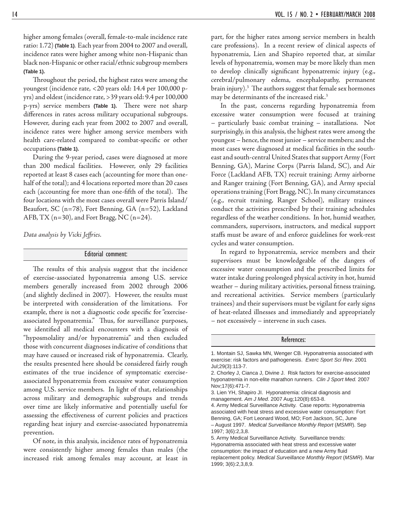higher among females (overall, female-to-male incidence rate ratio: 1.72) **(Table 1)**. Each year from 2004 to 2007 and overall, incidence rates were higher among white non-Hispanic than black non-Hispanic or other racial/ethnic subgroup members **(Table 1)**.

Throughout the period, the highest rates were among the youngest (incidence rate, <20 years old: 14.4 per 100,000 pyrs) and oldest (incidence rate, >39 years old: 9.4 per 100,000 p-yrs) service members (Table 1). There were not sharp differences in rates across military occupational subgroups. However, during each year from 2002 to 2007 and overall, incidence rates were higher among service members with health care-related compared to combat-specific or other occupations **(Table 1)**.

 During the 9-year period, cases were diagnosed at more than 200 medical facilities. However, only 29 facilities reported at least 8 cases each (accounting for more than onehalf of the total); and 4 locations reported more than 20 cases each (accounting for more than one-fifth of the total). The four locations with the most cases overall were Parris Island/ Beaufort, SC (n=78), Fort Benning, GA (n=52), Lackland AFB, TX ( $n=30$ ), and Fort Bragg, NC ( $n=24$ ).

*Data analysis by Vicki Jeff ries.*

#### Editorial comment:

The results of this analysis suggest that the incidence of exercise-associated hyponatremia among U.S. service members generally increased from 2002 through 2006 (and slightly declined in 2007). However, the results must be interpreted with consideration of the limitations. For example, there is not a diagnostic code specific for "exerciseassociated hyponatremia." Thus, for surveillance purposes, we identified all medical encounters with a diagnosis of "hyposmolality and/or hyponatremia" and then excluded those with concurrent diagnoses indicative of conditions that may have caused or increased risk of hyponatremia. Clearly, the results presented here should be considered fairly rough estimates of the true incidence of symptomatic exerciseassociated hyponatremia from excessive water consumption among U.S. service members. In light of that, relationships across military and demographic subgroups and trends over time are likely informative and potentially useful for assessing the effectiveness of current policies and practices regarding heat injury and exercise-associated hyponatremia prevention.

 Of note, in this analysis, incidence rates of hyponatremia were consistently higher among females than males (the increased risk among females may account, at least in part, for the higher rates among service members in health care professions). In a recent review of clinical aspects of hyponatremia, Lien and Shapiro reported that, at similar levels of hyponatremia, women may be more likely than men to develop clinically significant hyponatremic injury (e.g., cerebral/pulmonary edema, encephalopathy, permanent brain injury).<sup>3</sup> The authors suggest that female sex hormones may be determinants of the increased risk.<sup>3</sup>

 In the past, concerns regarding hyponatremia from excessive water consumption were focused at training – particularly basic combat training – installations. Not surprisingly, in this analysis, the highest rates were among the youngest – hence, the most junior – service members; and the most cases were diagnosed at medical facilities in the southeast and south-central United States that support Army (Fort Benning, GA), Marine Corps (Parris Island, SC), and Air Force (Lackland AFB, TX) recruit training; Army airborne and Ranger training (Fort Benning, GA), and Army special operations training (Fort Bragg, NC). In many circumstances (e.g., recruit training, Ranger School), military trainees conduct the activities prescribed by their training schedules regardless of the weather conditions. In hot, humid weather, commanders, supervisors, instructors, and medical support staffs must be aware of and enforce guidelines for work-rest cycles and water consumption.

 In regard to hyponatremia, service members and their supervisors must be knowledgeable of the dangers of excessive water consumption and the prescribed limits for water intake during prolonged physical activity in hot, humid weather - during military activities, personal fitness training, and recreational activities. Service members (particularly trainees) and their supervisors must be vigilant for early signs of heat-related illnesses and immediately and appropriately – not excessively – intervene in such cases.

#### References:

1997; 3(6):2,3,8.

<sup>1.</sup> Montain SJ, Sawka MN, Wenger CB. Hyponatremia associated with exercise: risk factors and pathogenesis. *Exerc Sport Sci Rev*. 2001 Jul;29(3):113-7.

<sup>2.</sup> Chorley J, Cianca J, Divine J. Risk factors for exercise-associated hyponatremia in non-elite marathon runners. *Clin J Sport Med.* 2007 Nov;17(6):471-7.

<sup>3.</sup> Lien YH, Shapiro JI. Hyponatremia: clinical diagnosis and management. *Am J Med*. 2007 Aug;120(8):653-8.

<sup>4.</sup> Army Medical Surveillance Activity. Case reports: Hyponatremia associated with heat stress and excessive water consumption: Fort Benning, GA; Fort Leonard Wood, MO; Fort Jackson, SC, June – August 1997. *Medical Surveillance Monthly Report* (*MSMR*). Sep

<sup>5.</sup> Army Medical Surveillance Activity. Surveillance trends: Hyponatremia associated with heat stress and excessive water consumption: the impact of education and a new Army fluid replacement policy. *Medical Surveillance Monthly Report* (*MSMR*). Mar 1999; 3(6):2,3,8,9.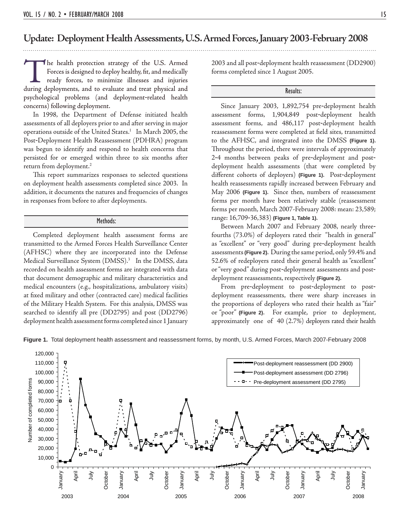### **Update: Deployment Health Assessments, U.S. Armed Forces, January 2003-February 2008**

The health protection strategy of the U.S. Armed Forces is designed to deploy healthy, fit, and medically ready forces, to minimize illnesses and injuries during deployments, and to evaluate and treat physical and Forces is designed to deploy healthy, fit, and medically ready forces, to minimize illnesses and injuries psychological problems (and deployment-related health concerns) following deployment.

 In 1998, the Department of Defense initiated health assessments of all deployers prior to and after serving in major operations outside of the United States.<sup>1</sup> In March 2005, the Post-Deployment Health Reassessment (PDHRA) program was begun to identify and respond to health concerns that persisted for or emerged within three to six months after return from deployment.<sup>2</sup>

This report summarizes responses to selected questions on deployment health assessments completed since 2003. In addition, it documents the natures and frequencies of changes in responses from before to after deployments.

#### Methods:

 Completed deployment health assessment forms are transmitted to the Armed Forces Health Surveillance Center (AFHSC) where they are incorporated into the Defense Medical Surveillance System (DMSS).3 In the DMSS, data recorded on health assessment forms are integrated with data that document demographic and military characteristics and medical encounters (e.g., hospitalizations, ambulatory visits) at fixed military and other (contracted care) medical facilities of the Military Health System. For this analysis, DMSS was searched to identify all pre (DD2795) and post (DD2796) deployment health assessment forms completed since 1 January

2003 and all post-deployment health reassessment (DD2900) forms completed since 1 August 2005.

#### Results:

 Since January 2003, 1,892,754 pre-deployment health assessment forms, 1,904,849 post-deployment health assessment forms, and 486,117 post-deployment health reassessment forms were completed at field sites, transmitted to the AFHSC, and integrated into the DMSS **(Figure 1)**. Throughout the period, there were intervals of approximately 2-4 months between peaks of pre-deployment and postdeployment health assessments (that were completed by diff erent cohorts of deployers) **(Figure 1)**. Post-deployment health reassessments rapidly increased between February and May 2006 **(Figure 1)**. Since then, numbers of reassessment forms per month have been relatively stable (reassessment forms per month, March 2007-February 2008: mean: 23,589; range: 16,709-36,383) **(Figure 1, Table 1)**.

 Between March 2007 and February 2008, nearly threefourths (73.0%) of deployers rated their "health in general" as "excellent" or "very good" during pre-deployment health assessments **(Figure 2)**. During the same period, only 59.4% and 52.6% of redeployers rated their general health as "excellent" or "very good" during post-deployment assessments and postdeployment reassessments, respectively **(Figure 2)**.

 From pre-deployment to post-deployment to postdeployment reassessments, there were sharp increases in the proportions of deployers who rated their health as "fair" or "poor" **(Figure 2)**. For example, prior to deployment, approximately one of 40 (2.7%) deployers rated their health

**Figure 1.** Total deployment health assessment and reassessment forms, by month, U.S. Armed Forces, March 2007-February 2008

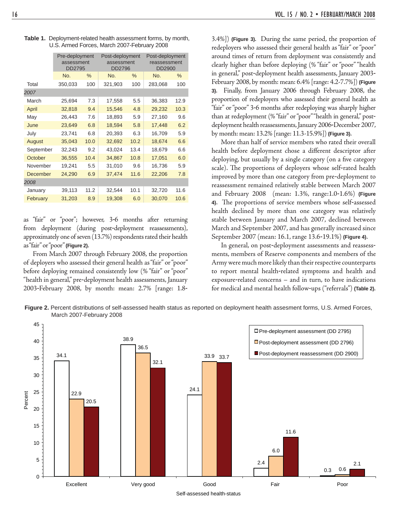|         |      |                                        |      | Post-deployment<br>reassessment<br>DD2900 |      |  |  |
|---------|------|----------------------------------------|------|-------------------------------------------|------|--|--|
| No.     | $\%$ | No.                                    | $\%$ | No.                                       | $\%$ |  |  |
| 350,033 | 100  | 321,903                                | 100  | 283,068                                   | 100  |  |  |
|         |      |                                        |      |                                           |      |  |  |
| 25,694  | 7.3  | 17,558                                 | 5.5  | 36,383                                    | 12.9 |  |  |
| 32,818  | 9.4  | 15,546                                 | 4.8  | 29,232                                    | 10.3 |  |  |
| 26,443  | 7.6  | 18,893                                 | 5.9  | 27,160                                    | 9.6  |  |  |
| 23,649  | 6.8  | 18,594                                 | 5.8  | 17,448                                    | 6.2  |  |  |
| 23,741  | 6.8  | 20,393                                 | 6.3  | 16,709                                    | 5.9  |  |  |
| 35,043  | 10.0 | 32,692                                 | 10.2 | 18,674                                    | 6.6  |  |  |
| 32,243  | 9.2  | 43,024                                 | 13.4 | 18,679                                    | 6.6  |  |  |
| 36,555  | 10.4 | 34,867                                 | 10.8 | 17,051                                    | 6.0  |  |  |
| 19,241  | 5.5  | 31,010                                 | 9.6  | 16,736                                    | 5.9  |  |  |
| 24,290  | 6.9  | 37,474                                 | 11.6 | 22,206                                    | 7.8  |  |  |
|         |      |                                        |      |                                           |      |  |  |
| 39,113  | 11.2 | 32,544                                 | 10.1 | 32,720                                    | 11.6 |  |  |
| 31,203  | 8.9  | 19,308                                 | 6.0  | 30,070                                    | 10.6 |  |  |
|         |      | Pre-deployment<br>assessment<br>DD2795 |      | Post-deployment<br>assessment<br>DD2796   |      |  |  |

**Table 1.** Deployment-related health assessment forms, by month, U.S. Armed Forces, March 2007-February 2008

as "fair" or "poor"; however, 3-6 months after returning from deployment (during post-deployment reassessments), approximately one of seven (13.7%) respondents rated their health as "fair" or "poor" **(Figure 2)**.

 From March 2007 through February 2008, the proportion of deployers who assessed their general health as "fair" or "poor" before deploying remained consistently low (% "fair" or "poor" "health in general," pre-deployment health assessments, January 2003-February 2008, by month: mean: 2.7% [range: 1.83.4%]) **(Figure 3).** During the same period, the proportion of redeployers who assessed their general health as "fair" or "poor" around times of return from deployment was consistently and clearly higher than before deploying (% "fair" or "poor" "health in general," post-deployment health assessments, January 2003- February 2008, by month: mean: 6.4% [range: 4.2-7.7%]) **(Figure 3)**. Finally, from January 2006 through February 2008, the proportion of redeployers who assessed their general health as "fair" or "poor" 3-6 months after redeploying was sharply higher than at redeployment (% "fair" or "poor" "health in general," postdeployment health reassessments, January 2006-December 2007, by month: mean: 13.2% [range: 11.3-15.9%]) **(Figure 3)**.

 More than half of service members who rated their overall health before deployment chose a different descriptor after deploying, but usually by a single category (on a five category scale). The proportions of deployers whose self-rated health improved by more than one category from pre-deployment to reassessment remained relatively stable between March 2007 and February 2008 (mean: 1.3%, range:1.0-1.6%) **(Figure 4).** The proportions of service members whose self-assessed health declined by more than one category was relatively stable between January and March 2007, declined between March and September 2007, and has generally increased since September 2007 (mean: 16.1, range 13.6-19.1%) **(Figure 4)**.

 In general, on post-deployment assessments and reassessments, members of Reserve components and members of the Army were much more likely than their respective counterparts to report mental health-related symptoms and health and exposure-related concerns – and in turn, to have indications for medical and mental health follow-ups ("referrals") **(Table 2).**



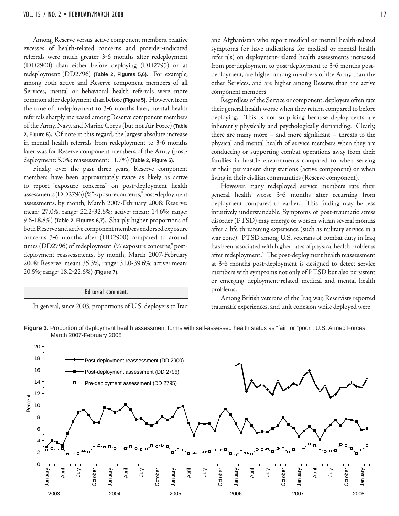Among Reserve versus active component members, relative excesses of health-related concerns and provider-indicated referrals were much greater 3-6 months after redeployment (DD2900) than either before deploying (DD2795) or at redeployment (DD2796) **(Table 2, Figures 5,6)**. For example, among both active and Reserve component members of all Services, mental or behavioral health referrals were more common after deployment than before **(Figure 5)**. However, from the time of redeployment to 3-6 months later, mental health referrals sharply increased among Reserve component members of the Army, Navy, and Marine Corps (but not Air Force) **(Table 2, Figure 5)**. Of note in this regard, the largest absolute increase in mental health referrals from redeployment to 3-6 months later was for Reserve component members of the Army (postdeployment: 5.0%; reassessment: 11.7%) **(Table 2, Figure 5)**.

 Finally, over the past three years, Reserve component members have been approximately twice as likely as active to report "exposure concerns" on post-deployment health assessments (DD2796) (% "exposure concerns," post-deployment assessments, by month, March 2007-February 2008: Reserve: mean: 27.0%, range: 22.2-32.6%; active: mean: 14.6%; range: 9.6-18.8%) **(Table 2, Figures 6,7)**. Sharply higher proportions of both Reserve and active component members endorsed exposure concerns 3-6 months after (DD2900) compared to around times (DD2796) of redeployment (% "exposure concerns," postdeployment reassessments, by month, March 2007-February 2008: Reserve: mean: 35.3%, range: 31.0-39.6%; active: mean: 20.5%; range: 18.2-22.6%) **(Figure 7)**.

#### Editorial comment:

In general, since 2003, proportions of U.S. deployers to Iraq

and Afghanistan who report medical or mental health-related symptoms (or have indications for medical or mental health referrals) on deployment-related health assessments increased from pre-deployment to post-deployment to 3-6 months postdeployment, are higher among members of the Army than the other Services, and are higher among Reserve than the active component members.

 Regardless of the Service or component, deployers often rate their general health worse when they return compared to before deploying. This is not surprising because deployments are inherently physically and psychologically demanding. Clearly, there are many more  $-$  and more significant  $-$  threats to the physical and mental health of service members when they are conducting or supporting combat operations away from their families in hostile environments compared to when serving at their permanent duty stations (active component) or when living in their civilian communities (Reserve component).

 However, many redeployed service members rate their general health worse 3-6 months after returning from deployment compared to earlier. This finding may be less intuitively understandable. Symptoms of post-traumatic stress disorder (PTSD) may emerge or worsen within several months after a life threatening experience (such as military service in a war zone). PTSD among U.S. veterans of combat duty in Iraq has been associated with higher rates of physical health problems after redeployment.<sup>4</sup> The post-deployment health reassessment at 3-6 months post-deployment is designed to detect service members with symptoms not only of PTSD but also persistent or emerging deployment-related medical and mental health problems.

 Among British veterans of the Iraq war, Reservists reported traumatic experiences, and unit cohesion while deployed were



**Figure 3.** Proportion of deployment health assessment forms with self-assessed health status as "fair" or "poor", U.S. Armed Forces, March 2007-February 2008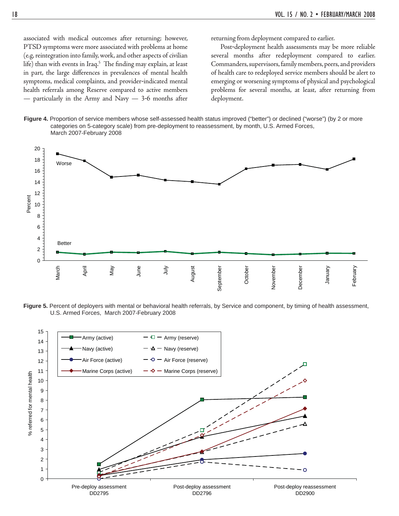associated with medical outcomes after returning; however, PTSD symptoms were more associated with problems at home (e.g, reintegration into family, work, and other aspects of civilian life) than with events in Iraq.<sup>5</sup> The finding may explain, at least in part, the large differences in prevalences of mental health symptoms, medical complaints, and provider-indicated mental health referrals among Reserve compared to active members — particularly in the Army and Navy — 3-6 months after

returning from deployment compared to earlier.

 Post-deployment health assessments may be more reliable several months after redeployment compared to earlier. Commanders, supervisors, family members, peers, and providers of health care to redeployed service members should be alert to emerging or worsening symptoms of physical and psychological problems for several months, at least, after returning from deployment.





**Figure 5.** Percent of deployers with mental or behavioral health referrals, by Service and component, by timing of health assessment, U.S. Armed Forces, March 2007-February 2008

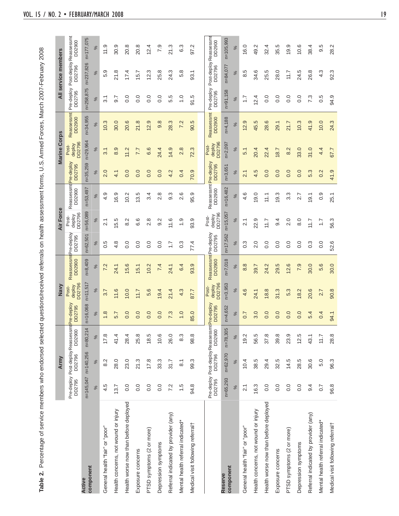| ı                                  |  |
|------------------------------------|--|
| ו<br>י<br>I                        |  |
|                                    |  |
|                                    |  |
|                                    |  |
|                                    |  |
| ı                                  |  |
|                                    |  |
|                                    |  |
|                                    |  |
| l                                  |  |
|                                    |  |
|                                    |  |
|                                    |  |
|                                    |  |
|                                    |  |
|                                    |  |
|                                    |  |
|                                    |  |
|                                    |  |
|                                    |  |
|                                    |  |
|                                    |  |
|                                    |  |
|                                    |  |
|                                    |  |
|                                    |  |
| 1<br>1                             |  |
| ć<br>$\frac{1}{2}$<br>j            |  |
| j<br>l<br>j<br>Í<br>j<br>Í<br>ׇ֚֓֡ |  |
| ׇ֚֓֡<br>֚֘֝<br>$\overline{a}$      |  |
|                                    |  |
| l<br>Ó                             |  |
| l<br>$\frac{2}{3}$                 |  |
| í<br>$\vdots$                      |  |
|                                    |  |
| $\frac{1}{2}$<br>ĺ<br>ׇ֚֬֡         |  |
| j                                  |  |
| j<br>j<br>ׇ֓֕֡                     |  |
| j<br>:                             |  |
| ミュコ<br>¢                           |  |
| l<br>$\mathfrak{c}$                |  |
| i<br>اھ<br>2                       |  |

|                                               |                   | Army                                                    |              |                         | Navy                      |                                       |                  | <b>Air Force</b>          |                                        |              | <b>Marine Corps</b>       |                             |                      | All service members   |                                             |
|-----------------------------------------------|-------------------|---------------------------------------------------------|--------------|-------------------------|---------------------------|---------------------------------------|------------------|---------------------------|----------------------------------------|--------------|---------------------------|-----------------------------|----------------------|-----------------------|---------------------------------------------|
|                                               | DD2795            | Pre-deploy Post-deployReassessm<br>DD2796               | DD2900       | tPre-deploy<br>DD2795   | DD2796<br>deploy<br>Post- | ReassessmtPre-deploy<br>DD2900        | DD2795           | DD2796<br>deploy<br>Post- | Reassessmt <b>Pre-deploy</b><br>DD2900 | DD2795       | DD2796<br>deploy<br>Post- | Reassessmt<br>DD2900        | DD2795               | DD2796                | Pre-deploy Post-deploy Reassessmt<br>DD2900 |
| component<br><b>Active</b>                    | n=145,047         | $n = 140,256$                                           | $n=80,214$   | $n = 16,068$            | $n = 11,517$              | $n=8,409$                             | $n = 62,501$     | n=56,089                  | $n = 53,497$                           | $n = 35,259$ | n=29,964                  | $n = 34,955$                | $n = 258,875$        | n=237,826             | $n = 177,075$                               |
|                                               | $\%$              | $\%$                                                    | $\%$         | ಸ                       | వ్                        | ಸ                                     | ೫                | వ్                        | ಸ                                      | $\%$         | ಸಿ                        | వ్                          | ಸ                    | న్                    | ಸಿ                                          |
| General health "fair" or "poor"               | 4.5               | 8.2                                                     | 17.8         | 1.8                     | 3.7                       | 7.2                                   | 0.5              | $\overline{21}$           | 4.9                                    | 2.0          | 3.1                       | 10.3                        | $\overline{3}$ .1    | 5.9                   | 11.9                                        |
| Health concerns, not wound or injury          | 13.7              | 28.0                                                    | 41.4         | 5.7                     | 11.6                      | 24.1                                  | $4.\overline{8}$ | 5.5                       | 16.9                                   | 4.1          | 8.9                       | 30.0                        | 9.7                  | 21.8                  | 30.9                                        |
| Health worse now than before deployed         | 0.0               | 23.0                                                    | 28.4         | 0.0                     | 10.0                      | 15.6                                  | 0.0              | 8.2                       | 10.2                                   | 0.0          | 11.2                      | 20.6                        | $\overline{0}$ .     | 17.4                  | 20.8                                        |
| Exposure concerns                             | 0.0               | 21.3                                                    | 25.8         | 0.0                     | 11.7                      | 15.1                                  | 0.0              | 6.6                       | 13.5                                   | 0.0          | 7.7                       | 21.8                        | 0.0                  | 15.7                  | 20.8                                        |
| PTSD symptoms (2 or more)                     | 0.0               | 17.8                                                    | 18.5         | 0.0                     | 5.6                       | 10.2                                  | 0.0              | 2.8                       | 3.4                                    | 0.0          | 6.6                       | 12.9                        | 0.0                  | 12.3                  | 12.4                                        |
| Depression symptoms                           | 0.0               | 33.3                                                    | 10.6         | 0.0                     | 19.4                      | 7.4                                   | 0.0              | 9.2                       | 2.8                                    | 0.0          | 24.4                      | 9.8                         | 0.0                  | 25.8                  | 7.9                                         |
| Referral indicated by provider (any)          | 7.2               | 31.7                                                    | 26.0         | 7.3                     | 21.4                      | 24.1                                  | $\ddot{ }$ :     | 11.6                      | 9.3                                    | 4.2          | 14.9                      | 28.3                        | 5.5                  | 24.3                  | 21.3                                        |
| Mental health referral indicated*             | 1.5               | $\overline{8}$ .                                        | 8.3          | 1.0                     | 4.3                       | 6.4                                   | $0.\overline{3}$ | $\frac{0}{1}$             | 2.6                                    | 0.4          | 2.8                       | 7.2                         | $\overline{1}$ .0    | 5.8                   | 6.3                                         |
| Medical visit following referral <sup>+</sup> | 94.8              | 99.3                                                    | 98.8         | 85.0                    | 87.7                      | 93.9                                  | 77.4             | 93.9                      | 95.9                                   | 70.9         | 72.3                      | 90.5                        | 91.5                 | 93.1                  | 97.2                                        |
|                                               |                   | Pre-deploy Post-deployReassessm<br>DD2795 DD2796 DD2900 |              | it Pre-deploy<br>DD2795 | DD2796<br>deploy<br>Post- | ReassessmtPre-deploy<br><b>DD2900</b> | DD2795           | DD2796<br>deploy<br>Post- | Reassessmt Pre-deploy<br>DD2900        | DD2795       | DD2796<br>deploy<br>Post- | Reassessmt<br><b>DD2900</b> | Pre-deploy<br>DD2795 | Post-deploy<br>DD2796 | Reassessm<br>DD2900                         |
| component<br>Reserve                          | n=65,293          | $n = 62,970$                                            | $n = 78,305$ | $1 = 4,652$             | $n = 3,953$               | $n = 7,018$                           | $n = 17,562$     | $n = 15,057$              | n=16,482                               | $n = 3,651$  | $n=2,097$                 | $n=4,188$                   | $n = 91,158$         | $n = 84,077$          | $n = 105,993$                               |
|                                               | $\%$              | $\%$                                                    | $\%$         | $\%$                    | $\%$                      | $\%$                                  | $\%$             | $\%$                      | $\%$                                   | $\%$         | $\%$                      | $\%$                        | $\%$                 | $\%$                  | $\%$                                        |
| General health "fair" or "poor"               | $\overline{2.1}$  | 10.4                                                    | 19.2         | 0.7                     | 4.6                       | 8.8                                   | $0.\overline{3}$ | $\frac{1}{2}$             | 4.6                                    | 2.1          | 5.1                       | 12.9                        | $\ddot{ }$ :         | 8.5                   | 16.0                                        |
| Health concerns, not wound or injury          | 16.3              | 38.5                                                    | 56.5         | 3.0                     | 24.1                      | 39.7                                  | 2.0              | 22.9                      | 0.61                                   | 4.5          | 20.4                      | 45.5                        | 2.4                  | 34.6                  | 49.2                                        |
| Health worse now than before deployed         | 0.0               | 29.4                                                    | 37.8         | 0.0                     | 18.8                      | 24.2                                  | 0.0              | 11.7                      | 11.1                                   | 0.0          | 22.4                      | 28.6                        | 0.0                  | 25.5                  | 32.4                                        |
| Exposure concerns                             | 0.0               | 32.5                                                    | 39.8         | 0.0                     | 31.3                      | 29.5                                  | 0.0              | 9.4                       | 19.3                                   | 0.0          | 18.7                      | 29.1                        | 0.0                  | 28.0                  | 35.5                                        |
| PTSD symptoms (2 or more)                     | 0.0               | 14.5                                                    | 23.9         | 0.0                     | 5.3                       | 12.6                                  | 0.0              | 2.0                       | $3.\overline{3}$                       | 0.0          | 8.2                       | 21.7                        | 0.0                  | 7.7                   | 19.9                                        |
| Depression symptoms                           | 0.0               | 28.5                                                    | 12.5         | 0.0                     | 18.2                      | 7.9                                   | $\overline{0}$ . | 8.0                       | 2.7                                    | 0.0          | 33.0                      | 10.3                        | 0.0                  | 24.5                  | 10.6                                        |
| Referral indicated by provider (any)          | 9.4               | 30.6                                                    | 43.1         | 5.4                     | 20.6                      | 30.0                                  | $0.\overline{3}$ | 11.7                      | 19.1                                   | 5.3          | 31.0                      | 41.9                        | 7.3                  | 26.8                  | 38.4                                        |
| Mental health referral indicated*             | $\overline{0}$ .7 | 5.0                                                     | 7.11         | 0.4                     | 2.7                       | 5.6                                   | 0.0              | $\overline{11}$           | 0.9                                    | 0.2          | 4.4                       | 10.0                        | 0.5                  | 4.3                   | 9.5                                         |
| Medical visit following referral <sup>+</sup> | 96.8              | 96.3                                                    | 28.8         | 94.1                    | 90.8                      | 30.0                                  | 52.6             | 56.3                      | 25.1                                   | 41.9         | 67.7                      | 24.3                        | 94.9                 | 92.3                  | 28.2                                        |
|                                               |                   |                                                         |              |                         |                           |                                       |                  |                           |                                        |              |                           |                             |                      |                       |                                             |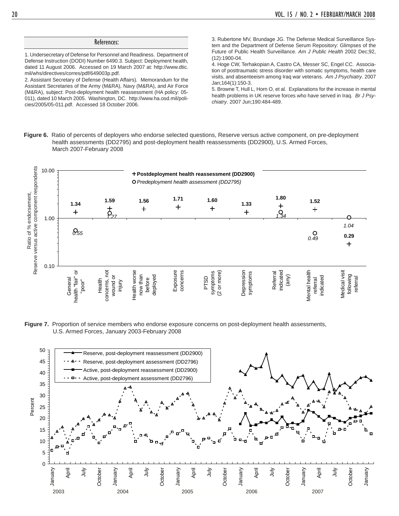#### References:

1. Undersecretary of Defense for Personnel and Readiness. Department of Defense Instruction (DODI) Number 6490.3. Subject: Deployment health, dated 11 August 2006. Accessed on 19 March 2007 at: http://www.dtic. mil/whs/directives/corres/pdf/649003p.pdf.

2. Assistant Secretary of Defense (Health Affairs). Memorandum for the Assistant Secretaries of the Army (M&RA), Navy (M&RA), and Air Force (M&RA), subject: Post-deployment health reassessment (HA policy: 05- 011), dated 10 March 2005. Washington, DC. http://www.ha.osd.mil/policies/2005/05-011.pdf. Accessed 18 October 2006.

3. Rubertone MV, Brundage JG. The Defense Medical Surveillance System and the Department of Defense Serum Repository: Glimpses of the Future of Public Health Surveillance. *Am J Public Health* 2002 Dec;92, (12):1900-04.

4. Hoge CW, Terhakopian A, Castro CA, Messer SC, Engel CC. Association of posttraumatic stress disorder with somatic symptoms, health care visits, and absenteeism among Iraq war veterans. *Am J Psychiatry*. 2007 Jan;164(1):150-3.

5. Browne T, Hull L, Horn O, et al. Explanations for the increase in mental health problems in UK reserve forces who have served in Iraq. *Br J Psychiatry*. 2007 Jun;190:484-489.

**Figure 6.** Ratio of percents of deployers who endorse selected questions, Reserve versus active component, on pre-deployment health assessments (DD2795) and post-deployment health reassessments (DD2900), U.S. Armed Forces, March 2007-February 2008



**Figure 7.** Proportion of service members who endorse exposure concerns on post-deployment health assessments, U.S. Armed Forces, January 2003-February 2008

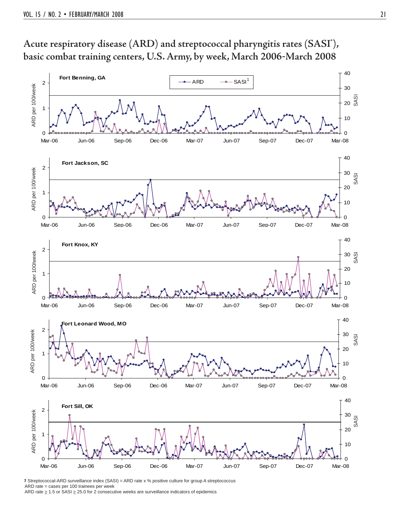



\* Streptococcal-ARD surveillance index (SASI) = ARD rate x % positive culture for group A streptococcus ARD rate = cases per 100 trainees per week ARD rate  $\geq 1.5$  or SASI  $\geq 25.0$  for 2 consecutive weeks are surveillance indicators of epidemics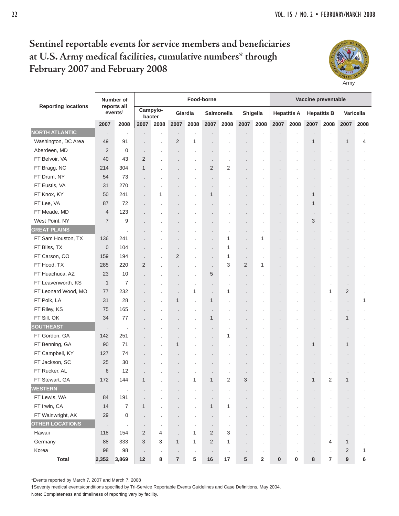## Sentinel reportable events for service members and beneficiaries **at U.S. Army medical facilities, cumulative numbers\* through February 2007 and February 2008**



|                            |                | Number of                          |                      |                    |                      |         | Food-borne           |                   |                      |                      |                      |                    |                      | Vaccine preventable  |                      |                |
|----------------------------|----------------|------------------------------------|----------------------|--------------------|----------------------|---------|----------------------|-------------------|----------------------|----------------------|----------------------|--------------------|----------------------|----------------------|----------------------|----------------|
| <b>Reporting locations</b> |                | reports all<br>events <sup>†</sup> |                      | Campylo-<br>bacter |                      | Giardia |                      | <b>Salmonella</b> |                      | Shigella             |                      | <b>Hepatitis A</b> |                      | <b>Hepatitis B</b>   |                      | Varicella      |
|                            | 2007           | 2008                               | 2007                 | 2008               | 2007                 | 2008    | 2007                 | 2008              | 2007                 | 2008                 | 2007                 | 2008               | 2007                 | 2008                 | 2007                 | 2008           |
| <b>NORTH ATLANTIC</b>      | ٠              | $\cdot$                            | $\ddot{\phantom{a}}$ |                    | $\cdot$              | $\cdot$ |                      |                   | $\cdot$              | $\cdot$              |                      |                    | $\cdot$              | $\cdot$              |                      |                |
| Washington, DC Area        | 49             | 91                                 | $\cdot$              | $\cdot$            | $\overline{2}$       | 1       | $\cdot$              |                   | $\cdot$              |                      | ×,                   | ٠                  | $\mathbf{1}$         | $\cdot$              | $\mathbf{1}$         | 4              |
| Aberdeen, MD               | $\overline{2}$ | 0                                  | $\ddot{\phantom{a}}$ | $\cdot$            | $\cdot$              | $\cdot$ | $\cdot$              | $\cdot$           | $\cdot$              | $\ddot{\phantom{0}}$ | $\ddot{\phantom{0}}$ | $\cdot$            | $\cdot$              | $\blacksquare$       | $\cdot$              | $\cdot$        |
| FT Belvoir, VA             | 40             | 43                                 | $\overline{2}$       |                    |                      |         | $\cdot$              | $\cdot$           | $\cdot$              |                      | $\overline{a}$       |                    | $\cdot$              |                      | $\cdot$              |                |
| FT Bragg, NC               | 214            | 304                                | $\mathbf{1}$         |                    |                      | $\cdot$ | $\overline{2}$       | 2                 |                      |                      |                      |                    | $\ddot{\phantom{0}}$ | $\cdot$              | $\blacksquare$       |                |
| FT Drum, NY                | 54             | 73                                 | $\ddot{\phantom{0}}$ |                    |                      | $\cdot$ | $\cdot$              | $\cdot$           | $\cdot$              | $\cdot$              | $\blacksquare$       | ٠                  | $\cdot$              | $\cdot$              | $\blacksquare$       | $\blacksquare$ |
| FT Eustis, VA              | 31             | 270                                | $\cdot$              |                    |                      | $\cdot$ | $\cdot$              | $\cdot$           | $\cdot$              | $\ddot{\phantom{a}}$ | $\ddot{\phantom{0}}$ | $\cdot$            | $\cdot$              | $\cdot$              | $\blacksquare$       | $\cdot$        |
| FT Knox, KY                | 50             | 241                                | $\overline{a}$       | 1                  |                      |         | $\mathbf{1}$         | $\cdot$           | $\cdot$              |                      | $\cdot$              | $\cdot$            | 1                    | ٠                    | $\blacksquare$       |                |
| FT Lee, VA                 | 87             | 72                                 |                      |                    |                      |         |                      |                   | $\cdot$              |                      |                      |                    | $\mathbf{1}$         | $\cdot$              | $\blacksquare$       |                |
| FT Meade, MD               | 4              | 123                                |                      |                    |                      |         | $\cdot$              | $\cdot$           | $\cdot$              | $\cdot$              | $\blacksquare$       | $\cdot$            | $\cdot$              | $\cdot$              | $\cdot$              | $\blacksquare$ |
| West Point, NY             | $\overline{7}$ | 9                                  | ÷.                   |                    |                      |         |                      | $\cdot$           | $\ddot{\phantom{0}}$ | $\cdot$              |                      |                    | 3                    | $\ddot{\phantom{a}}$ | $\ddot{\phantom{0}}$ |                |
| <b>GREAT PLAINS</b>        | $\cdot$        | $\cdot$                            |                      |                    |                      |         |                      | $\cdot$           | $\cdot$              | $\cdot$              |                      |                    |                      |                      | $\cdot$              |                |
| FT Sam Houston, TX         | 136            | 241                                |                      |                    |                      |         | $\cdot$              | 1                 | ä,                   | 1                    |                      |                    |                      |                      | $\cdot$              |                |
| FT Bliss, TX               | $\mathbf 0$    | 104                                | $\ddot{\phantom{0}}$ | $\cdot$            | $\cdot$              | $\cdot$ | $\cdot$              | 1                 | $\ddot{\phantom{0}}$ | $\cdot$              | $\ddot{\phantom{0}}$ | $\cdot$            | $\cdot$              | $\cdot$              | $\cdot$              |                |
| FT Carson, CO              | 159            | 194                                | $\cdot$              | $\blacksquare$     | 2                    | $\cdot$ | $\cdot$              | 1                 | $\cdot$              | $\cdot$              | $\ddot{\phantom{0}}$ | ٠                  | $\cdot$              | $\cdot$              | $\cdot$              |                |
| FT Hood, TX                | 285            | 220                                | $\overline{2}$       |                    |                      | $\cdot$ | $\cdot$              | 3                 | 2                    | 1                    |                      |                    |                      |                      |                      |                |
| FT Huachuca, AZ            | 23             | 10                                 |                      |                    | $\cdot$              | $\cdot$ | 5                    | $\cdot$           | $\cdot$              | $\ddot{\phantom{0}}$ |                      |                    | $\blacksquare$       | $\blacksquare$       | $\cdot$              |                |
| FT Leavenworth, KS         | $\mathbf{1}$   | 7                                  |                      |                    | $\cdot$              | $\cdot$ | $\cdot$              | $\cdot$           | $\cdot$              | $\ddot{\phantom{0}}$ |                      | $\cdot$            | $\cdot$              | $\cdot$              | $\blacksquare$       | $\cdot$        |
| FT Leonard Wood, MO        | 77             | 232                                |                      |                    |                      | 1       | $\ddot{\phantom{a}}$ | 1                 |                      |                      |                      |                    |                      | 1                    | 2                    |                |
| FT Polk, LA                | 31             | 28                                 |                      |                    | $\mathbf{1}$         |         | $\mathbf{1}$         | $\cdot$           |                      |                      |                      |                    |                      | $\cdot$              | $\ddot{\phantom{0}}$ | 1              |
| FT Riley, KS               | 75             | 165                                |                      |                    |                      | $\cdot$ | $\cdot$              | $\cdot$           | $\cdot$              |                      |                      |                    | $\cdot$              | $\cdot$              | $\cdot$              |                |
| FT Sill, OK                | 34             | 77                                 |                      |                    | $\cdot$              | $\cdot$ | $\mathbf{1}$         | $\cdot$           | $\cdot$              |                      | $\cdot$              |                    | $\cdot$              | $\cdot$              | $\mathbf{1}$         | $\blacksquare$ |
| <b>SOUTHEAST</b>           | $\cdot$        | $\cdot$                            |                      |                    |                      |         | $\cdot$              | $\cdot$           | $\blacksquare$       |                      |                      |                    | $\cdot$              | $\blacksquare$       | $\cdot$              | $\cdot$        |
| FT Gordon, GA              | 142            | 251                                |                      |                    | $\cdot$              |         | $\cdot$              | 1                 |                      |                      |                      | $\cdot$            | $\blacksquare$       | $\cdot$              | $\cdot$              |                |
| FT Benning, GA             | 90             | 71                                 |                      |                    | $\mathbf{1}$         | ٠       | $\cdot$              |                   | $\ddot{\phantom{0}}$ | $\cdot$              | ٠                    | ٠                  | $\mathbf{1}$         | $\cdot$              | $\mathbf{1}$         |                |
| FT Campbell, KY            | 127            | 74                                 | $\ddot{\phantom{a}}$ |                    | $\cdot$              |         | $\cdot$              | $\cdot$           | $\cdot$              |                      | ٠                    | $\cdot$            | $\cdot$              | $\cdot$              | $\ddot{\phantom{0}}$ |                |
| FT Jackson, SC             | 25             | 30                                 |                      |                    |                      |         |                      | ٠                 | $\cdot$              |                      |                      |                    | $\cdot$              |                      | $\cdot$              |                |
| FT Rucker, AL              | 6              | 12                                 |                      |                    |                      | ٠       | $\cdot$              | $\cdot$           | $\cdot$              |                      |                      |                    | $\blacksquare$       | $\cdot$              | $\blacksquare$       |                |
| FT Stewart, GA             | 172            | 144                                | $\mathbf{1}$         |                    |                      | 1       | 1                    | 2                 | 3                    |                      | $\cdot$              |                    | $\mathbf{1}$         | 2                    | $\mathbf{1}$         |                |
| <b>WESTERN</b>             | $\cdot$        | $\cdot$                            | $\cdot$              |                    |                      |         | $\cdot$              | ٠                 |                      |                      |                      |                    |                      | $\cdot$              | $\ddot{\phantom{0}}$ |                |
| FT Lewis, WA               | 84             | 191                                |                      |                    |                      |         | $\cdot$              |                   |                      |                      |                      |                    |                      |                      |                      |                |
| FT Irwin, CA               | 14             | $\overline{7}$                     | 1                    |                    |                      |         | 1                    | 1                 |                      |                      |                      |                    |                      |                      |                      |                |
| FT Wainwright, AK          | 29             | 0                                  |                      |                    |                      | $\cdot$ | $\cdot$              | $\cdot$           | $\cdot$              | $\cdot$              | $\cdot$              | $\cdot$            | $\blacksquare$       | $\blacksquare$       | $\blacksquare$       |                |
| <b>OTHER LOCATIONS</b>     | $\cdot$        | $\cdot$                            | $\cdot$              | $\cdot$            | $\cdot$              | $\cdot$ | $\cdot$              | $\cdot$           | $\blacksquare$       |                      |                      |                    | $\cdot$              | $\cdot$              | $\blacksquare$       |                |
| Hawaii                     | 118            | 154                                | $\overline{2}$       | 4                  | $\ddot{\phantom{a}}$ | 1       | 2                    | 3                 | $\ddot{\phantom{0}}$ |                      |                      |                    | $\blacksquare$       | $\cdot$              | $\cdot$              |                |
| Germany                    | 88             | 333                                | 3                    | 3                  | $\mathbf{1}$         | 1       | 2                    | 1                 |                      |                      |                      |                    | $\ddot{\phantom{0}}$ | 4                    | $\mathbf{1}$         |                |
| Korea                      | 98             | 98                                 | $\cdot$              | $\cdot$            | $\cdot$              | $\cdot$ | $\cdot$              | $\cdot$           | $\cdot$              | $\blacksquare$       | $\cdot$              | $\cdot$            | $\cdot$              | $\cdot$              | $\overline{2}$       | 1              |
| <b>Total</b>               | 2,352          | 3,869                              | $12$                 | 8                  | $\overline{7}$       | 5       | $16\,$               | $17\,$            | 5                    | 2                    | $\pmb{0}$            | $\pmb{0}$          | 8                    | $\bf 7$              | $\boldsymbol{9}$     | 6              |

\*Events reported by March 7, 2007 and March 7, 2008

†Seventy medical events/conditions specified by Tri-Service Reportable Events Guidelines and Case Definitions, May 2004.

Note: Completeness and timeliness of reporting vary by facility.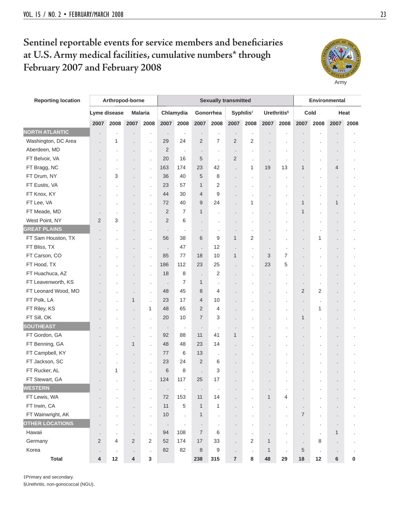## Sentinel reportable events for service members and beneficiaries **at U.S. Army medical facilities, cumulative numbers\* through February 2007 and February 2008**



| <b>Reporting location</b> | Arthropod-borne      |         |                         |                |                      |                |                      | <b>Sexually transmitted</b> |                      |                       |                      | Environmental           |                |                      |                |           |  |
|---------------------------|----------------------|---------|-------------------------|----------------|----------------------|----------------|----------------------|-----------------------------|----------------------|-----------------------|----------------------|-------------------------|----------------|----------------------|----------------|-----------|--|
|                           | Lyme disease         |         |                         | <b>Malaria</b> |                      | Chlamydia      |                      | Gonorrhea                   |                      | Syphilis <sup>#</sup> |                      | Urethritis <sup>§</sup> | Cold           |                      |                | Heat      |  |
|                           | 2007                 | 2008    | 2007                    | 2008           | 2007                 | 2008           | 2007                 | 2008                        | 2007                 | 2008                  | 2007                 | 2008                    | 2007           | 2008                 | 2007           | 2008      |  |
| <b>NORTH ATLANTIC</b>     | $\cdot$              |         |                         | $\cdot$        | $\cdot$              | $\cdot$        | $\cdot$              | $\cdot$                     | $\cdot$              | $\cdot$               |                      | ٠                       | $\cdot$        |                      |                |           |  |
| Washington, DC Area       | $\cdot$              | 1       | $\overline{a}$          | $\cdot$        | 29                   | 24             | 2                    | 7                           | $\overline{2}$       | 2                     |                      | ٠                       | $\cdot$        |                      |                |           |  |
| Aberdeen, MD              |                      |         |                         | $\cdot$        | 2                    | $\cdot$        | $\cdot$              | $\cdot$                     | $\ddot{\phantom{0}}$ | ×,                    |                      |                         |                |                      |                |           |  |
| FT Belvoir, VA            |                      |         |                         | $\cdot$        | 20                   | 16             | 5                    | $\cdot$                     | 2                    | ×,                    | $\cdot$              |                         | $\cdot$        | $\blacksquare$       | $\cdot$        |           |  |
| FT Bragg, NC              |                      |         |                         | $\cdot$        | 163                  | 174            | 23                   | 42                          | $\ddot{\phantom{0}}$ | 1                     | 19                   | 13                      | 1              | $\cdot$              | 4              |           |  |
| FT Drum, NY               |                      | 3       | $\ddot{\phantom{0}}$    | $\cdot$        | 36                   | 40             | 5                    | 8                           | $\ddot{\phantom{0}}$ |                       |                      |                         | $\cdot$        | $\blacksquare$       | $\cdot$        |           |  |
| FT Eustis, VA             |                      |         |                         | $\cdot$        | 23                   | 57             | $\mathbf{1}$         | 2                           | $\ddot{\phantom{0}}$ |                       |                      |                         | $\cdot$        |                      |                |           |  |
| FT Knox, KY               |                      |         |                         | $\cdot$        | 44                   | 30             | $\overline{4}$       | 9                           | $\ddot{\phantom{0}}$ |                       |                      |                         | $\cdot$        | $\blacksquare$       | $\blacksquare$ |           |  |
| FT Lee, VA                |                      |         | $\blacksquare$          | $\cdot$        | 72                   | 40             | 9                    | 24                          |                      | 1                     | $\cdot$              | $\cdot$                 | 1              | $\cdot$              | 1              |           |  |
| FT Meade, MD              |                      |         | ×                       | $\cdot$        | 2                    | 7              | 1                    | $\cdot$                     | $\ddot{\phantom{0}}$ |                       |                      |                         | 1              | $\cdot$              | $\cdot$        |           |  |
| West Point, NY            | 2                    | 3       |                         | $\cdot$        | 2                    | 6              |                      |                             |                      |                       |                      |                         | $\cdot$        |                      | $\blacksquare$ |           |  |
| <b>GREAT PLAINS</b>       |                      |         |                         | $\cdot$        | $\cdot$              | $\cdot$        | $\cdot$              | $\cdot$                     | $\ddot{\phantom{0}}$ |                       |                      | $\cdot$                 | $\cdot$        | $\cdot$              | $\bullet$      |           |  |
| FT Sam Houston, TX        |                      |         | ٠                       | $\cdot$        | 56                   | 38             | 6                    | 9                           | $\mathbf{1}$         | 2                     | $\ddot{\phantom{0}}$ | $\cdot$                 | $\cdot$        | 1                    | $\cdot$        |           |  |
| FT Bliss, TX              |                      |         |                         | $\cdot$        | $\ddot{\phantom{0}}$ | 47             | $\ddot{\phantom{0}}$ | 12                          | $\ddot{\phantom{0}}$ | ä,                    |                      |                         | $\blacksquare$ |                      | $\cdot$        |           |  |
| FT Carson, CO             |                      |         |                         | $\cdot$        | 85                   | 77             | 18                   | 10                          | $\mathbf{1}$         | ä,                    | 3                    | $\overline{7}$          |                |                      | $\cdot$        |           |  |
| FT Hood, TX               |                      |         |                         | $\cdot$        | 186                  | 112            | 23                   | 25                          |                      | ä,                    | 23                   | 5                       | $\cdot$        | $\blacksquare$       | $\blacksquare$ |           |  |
| FT Huachuca, AZ           |                      |         | ٠                       | $\cdot$        | 18                   | 8              | $\blacksquare$       | $\overline{2}$              | $\blacksquare$       | ×                     | $\cdot$              | ٠                       | $\cdot$        | ٠                    | $\cdot$        |           |  |
| FT Leavenworth, KS        |                      |         | $\cdot$                 | $\cdot$        | $\cdot$              | 7              | 1                    | ÷,                          | $\cdot$              |                       |                      | $\cdot$                 | $\cdot$        | $\cdot$              | $\cdot$        |           |  |
| FT Leonard Wood, MO       |                      |         | $\cdot$                 | $\cdot$        | 48                   | 45             | 8                    | 4                           |                      |                       | $\blacksquare$       | $\cdot$                 | $\overline{2}$ | $\overline{2}$       | $\cdot$        |           |  |
| FT Polk, LA               |                      | ٠       | 1                       | $\cdot$        | 23                   | 17             | $\overline{4}$       | 10                          |                      |                       | $\cdot$              | $\cdot$                 | $\cdot$        | $\cdot$              | $\cdot$        |           |  |
| FT Riley, KS              |                      |         | $\bullet$               | 1              | 48                   | 65             | $\overline{2}$       | 4                           | $\blacksquare$       |                       | $\cdot$              |                         | $\cdot$        | 1                    | $\blacksquare$ |           |  |
| FT Sill, OK               |                      |         | ٠                       | $\cdot$        | 20                   | 10             | $\overline{7}$       | 3                           |                      |                       |                      |                         | 1              | $\ddot{\phantom{0}}$ |                |           |  |
| <b>SOUTHEAST</b>          |                      |         | ٠                       | $\cdot$        | $\cdot$              | $\blacksquare$ | $\cdot$              | $\cdot$                     | $\cdot$              |                       |                      |                         | $\cdot$        |                      | $\cdot$        |           |  |
| FT Gordon, GA             | $\ddot{\phantom{0}}$ | $\cdot$ | $\cdot$                 | $\cdot$        | 92                   | 88             | 11                   | 41                          | $\mathbf{1}$         | $\ddot{\phantom{0}}$  | $\ddot{\phantom{0}}$ | $\cdot$                 | $\cdot$        | $\cdot$              | $\cdot$        |           |  |
| FT Benning, GA            | $\ddot{\phantom{0}}$ | $\cdot$ | 1                       | l.             | 48                   | 48             | 23                   | 14                          | $\cdot$              | ÷                     | $\cdot$              |                         | $\cdot$        | $\ddot{\phantom{a}}$ | $\cdot$        |           |  |
| FT Campbell, KY           |                      | ٠       | $\cdot$                 | $\cdot$        | 77                   | 6              | 13                   | $\cdot$                     | $\ddot{\phantom{0}}$ | ×                     | $\blacksquare$       |                         | $\blacksquare$ |                      | $\cdot$        |           |  |
| FT Jackson, SC            | $\ddot{\phantom{0}}$ |         | $\cdot$                 | $\cdot$        | 23                   | 24             | $\overline{2}$       | 6                           |                      |                       | $\blacksquare$       |                         | $\cdot$        |                      | $\cdot$        |           |  |
| FT Rucker, AL             | $\cdot$              | 1       | $\blacksquare$          | $\cdot$        | 6                    | 8              | $\cdot$              | 3                           | $\cdot$              |                       | $\blacksquare$       | $\cdot$                 | $\cdot$        | $\blacksquare$       | $\bullet$      |           |  |
| FT Stewart, GA            |                      |         |                         | ï              | 124                  | 117            | 25                   | 17                          |                      |                       |                      |                         | $\cdot$        |                      | $\cdot$        |           |  |
| WESTERN                   |                      |         |                         | $\bullet$      | $\cdot$              | $\cdot$        | $\cdot$              | $\cdot$                     |                      |                       |                      | $\cdot$                 | $\cdot$        |                      |                |           |  |
| FT Lewis, WA              | $\ddot{\phantom{0}}$ |         | $\cdot$                 | $\cdot$        | 72                   | 153            | 11                   | 14                          |                      |                       | 1                    | 4                       | $\blacksquare$ | $\cdot$              | $\cdot$        |           |  |
| FT Irwin, CA              |                      |         | $\cdot$                 | $\cdot$        | 11                   | $\sqrt{5}$     | $\mathbf{1}$         | $\mathbf{1}$                | $\ddot{\phantom{0}}$ | $\blacksquare$        | $\blacksquare$       | $\cdot$                 | $\cdot$        | $\cdot$              | $\cdot$        |           |  |
| FT Wainwright, AK         |                      |         | ×                       | $\cdot$        | 10                   | $\cdot$        | $\mathbf{1}$         | $\cdot$                     | $\cdot$              |                       |                      | $\cdot$                 | $\overline{7}$ | $\ddot{\phantom{0}}$ | $\cdot$        |           |  |
| <b>OTHER LOCATIONS</b>    |                      |         |                         | $\cdot$        | $\cdot$              | $\cdot$        | $\cdot$              | $\cdot$                     |                      |                       |                      |                         | $\cdot$        | $\cdot$              | $\cdot$        |           |  |
| Hawaii                    |                      |         |                         | $\cdot$        | 94                   | 108            | $\overline{7}$       | 6                           |                      | ×                     |                      |                         | $\cdot$        | $\cdot$              | $\mathbf{1}$   |           |  |
| Germany                   | $\overline{2}$       | 4       | $\overline{2}$          | $\overline{2}$ | 52                   | 174            | 17                   | 33                          | $\ddot{\phantom{0}}$ | $\overline{2}$        | 1                    | $\cdot$                 | $\cdot$        | 8                    | $\cdot$        |           |  |
| Korea                     |                      |         | $\cdot$                 | $\cdot$        | 82                   | 82             | $\,8\,$              | 9                           | $\ddot{\phantom{0}}$ |                       | 1                    |                         | $\sqrt{5}$     | $\cdot$              | $\cdot$        |           |  |
| <b>Total</b>              | 4                    | 12      | $\overline{\mathbf{4}}$ | $\mathbf 3$    |                      |                | 238                  | 315                         | $\overline{7}$       | 8                     | 48                   | 29                      | 18             | 12                   | 6              | $\pmb{0}$ |  |

‡Primary and secondary.

§Urethritis, non-gonococcal (NGU).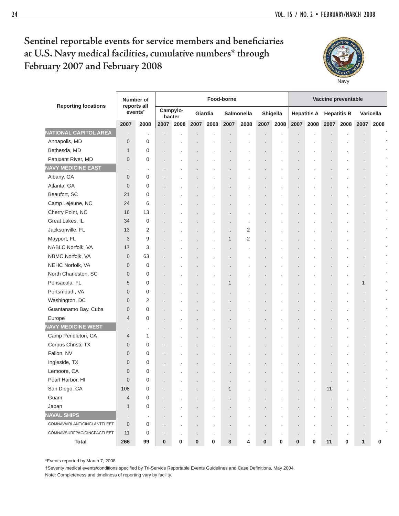## Sentinel reportable events for service members and beneficiaries **at U.S. Navy medical facilities, cumulative numbers\* through February 2007 and February 2008**



|                              |                | Number of                          |                      |                    |                      |                      | Food-borne     |                      |                      |                      |         |                    | Vaccine preventable  |                      |                |           |
|------------------------------|----------------|------------------------------------|----------------------|--------------------|----------------------|----------------------|----------------|----------------------|----------------------|----------------------|---------|--------------------|----------------------|----------------------|----------------|-----------|
| <b>Reporting locations</b>   |                | reports all<br>events <sup>t</sup> |                      | Campylo-<br>bacter |                      | Giardia              |                | Salmonella           |                      | Shigella             |         | <b>Hepatitis A</b> | <b>Hepatitis B</b>   |                      |                | Varicella |
|                              | 2007           | 2008                               | 2007                 | 2008               | 2007                 | 2008                 | 2007           | 2008                 |                      | 2007 2008            | 2007    | 2008               | 2007                 | 2008                 | 2007           | 2008      |
| <b>NATIONAL CAPITOL AREA</b> | $\cdot$        | $\cdot$                            | $\cdot$              |                    | $\blacksquare$       |                      | $\cdot$        |                      | $\cdot$              | $\cdot$              | $\cdot$ |                    | $\blacksquare$       |                      |                |           |
| Annapolis, MD                | $\mathbf{0}$   | 0                                  | $\ddot{\phantom{0}}$ |                    |                      |                      |                |                      |                      |                      |         |                    |                      |                      |                |           |
| Bethesda, MD                 | $\mathbf{1}$   | 0                                  | $\ddot{\phantom{0}}$ |                    |                      |                      |                |                      |                      |                      |         |                    |                      |                      |                |           |
| Patuxent River, MD           | $\theta$       | 0                                  | $\ddot{\phantom{0}}$ |                    |                      |                      |                |                      | $\cdot$              | $\blacksquare$       |         |                    |                      |                      | $\cdot$        |           |
| <b>NAVY MEDICINE EAST</b>    | $\cdot$        | $\cdot$                            | $\cdot$              |                    |                      |                      | $\cdot$        |                      | $\cdot$              | $\blacksquare$       |         |                    | $\cdot$              | ٠                    | $\cdot$        |           |
| Albany, GA                   | $\mathbf 0$    | 0                                  | $\cdot$              | $\cdot$            |                      | ٠                    | $\cdot$        | $\cdot$              | $\cdot$              | $\cdot$              | ٠       | $\cdot$            | $\ddot{\phantom{0}}$ |                      | ٠              |           |
| Atlanta, GA                  | $\mathbf{0}$   | 0                                  | $\ddot{\phantom{0}}$ |                    |                      |                      | $\blacksquare$ |                      |                      | $\cdot$              |         |                    | $\ddot{\phantom{0}}$ |                      | ٠              |           |
| Beaufort, SC                 | 21             | 0                                  | $\cdot$              |                    |                      |                      | $\cdot$        |                      |                      | $\cdot$              | ٠       |                    | $\cdot$              |                      | ٠              |           |
| Camp Lejeune, NC             | 24             | 6                                  | $\cdot$              |                    | $\ddot{\phantom{0}}$ | ٠                    | $\blacksquare$ | ٠                    |                      | $\cdot$              | ٠       |                    | $\blacksquare$       | $\blacksquare$       | $\cdot$        |           |
| Cherry Point, NC             | 16             | 13                                 | $\cdot$              | $\cdot$            | ÷.                   | $\ddot{\phantom{a}}$ | $\cdot$        | $\cdot$              | $\blacksquare$       | $\cdot$              | ٠       | $\cdot$            | $\ddot{\phantom{0}}$ | $\ddot{\phantom{0}}$ | ٠              | $\bullet$ |
| Great Lakes, IL              | 34             | $\mathbf 0$                        | $\ddot{\phantom{0}}$ |                    |                      |                      | $\cdot$        | $\cdot$              |                      | $\cdot$              |         |                    |                      |                      | ٠              |           |
| Jacksonville, FL             | 13             | $\overline{2}$                     | $\cdot$              |                    |                      | ×                    | $\cdot$        | 2                    | $\ddot{\phantom{0}}$ | $\cdot$              | ٠       |                    | $\cdot$              |                      | ٠              |           |
| Mayport, FL                  | 3              | 9                                  | $\ddot{\phantom{0}}$ | $\cdot$            | $\cdot$              |                      | 1              | 2                    | $\ddot{\phantom{0}}$ | $\blacksquare$       | ٠       |                    | $\ddot{\phantom{0}}$ | $\blacksquare$       | $\cdot$        |           |
| NABLC Norfolk, VA            | 17             | 3                                  | $\cdot$              |                    | $\ddot{\phantom{0}}$ | $\ddot{\phantom{a}}$ | $\cdot$        | $\cdot$              | $\blacksquare$       | $\cdot$              | $\cdot$ |                    | $\blacksquare$       | $\ddot{\phantom{0}}$ | $\cdot$        |           |
| NBMC Norfolk, VA             | $\overline{0}$ | 63                                 | $\ddot{\phantom{0}}$ |                    |                      | ٠                    | $\cdot$        |                      | $\cdot$              | $\cdot$              |         |                    | $\blacksquare$       | $\cdot$              | $\cdot$        |           |
| NEHC Norfolk, VA             | $\mathbf 0$    | 0                                  | $\cdot$              |                    |                      |                      | $\cdot$        |                      |                      | $\cdot$              | ٠       |                    | $\cdot$              |                      | $\cdot$        | $\cdot$   |
| North Charleston, SC         | $\mathbf 0$    | 0                                  | $\cdot$              |                    | $\cdot$              | $\ddot{\phantom{0}}$ | $\cdot$        | $\cdot$              | $\cdot$              | $\blacksquare$       | $\cdot$ |                    | $\cdot$              | $\cdot$              | $\cdot$        |           |
| Pensacola, FL                | 5              | 0                                  | $\cdot$              |                    | $\ddot{\phantom{0}}$ | $\ddot{\phantom{a}}$ | 1              |                      | $\blacksquare$       | $\blacksquare$       | $\cdot$ |                    | $\blacksquare$       | $\cdot$              | 1              |           |
| Portsmouth, VA               | $\mathbf{0}$   | 0                                  | $\ddot{\phantom{0}}$ |                    | $\ddot{\phantom{0}}$ | ×                    | $\cdot$        |                      | $\cdot$              | ٠                    |         |                    | $\blacksquare$       | ٠                    | $\cdot$        |           |
| Washington, DC               | $\mathbf 0$    | $\overline{2}$                     | $\cdot$              |                    |                      |                      | $\cdot$        |                      |                      | ٠                    | $\cdot$ |                    | $\ddot{\phantom{0}}$ | $\cdot$              | $\cdot$        |           |
| Guantanamo Bay, Cuba         | $\mathbf 0$    | 0                                  | $\cdot$              | $\cdot$            | $\ddot{\phantom{0}}$ | $\blacksquare$       | $\cdot$        | $\ddot{\phantom{0}}$ | $\cdot$              | $\cdot$              | $\cdot$ |                    |                      |                      | $\blacksquare$ |           |
| Europe                       | 4              | 0                                  | $\cdot$              |                    |                      |                      | $\cdot$        | ×                    | $\cdot$              | $\ddot{\phantom{0}}$ | $\cdot$ |                    | $\ddot{\phantom{0}}$ |                      | $\blacksquare$ |           |
| <b>NAVY MEDICINE WEST</b>    | $\cdot$        | $\cdot$                            | $\cdot$              |                    |                      |                      | $\cdot$        |                      |                      | $\ddot{\phantom{0}}$ |         |                    |                      |                      | $\cdot$        |           |
| Camp Pendleton, CA           | 4              | 1                                  | $\cdot$              |                    |                      |                      | $\cdot$        |                      | $\cdot$              | $\cdot$              | ×,      |                    | $\blacksquare$       |                      | $\cdot$        |           |
| Corpus Christi, TX           | $\mathbf 0$    | 0                                  | $\cdot$              | $\cdot$            | $\ddot{\phantom{0}}$ | $\blacksquare$       | $\cdot$        |                      | $\cdot$              | $\cdot$              | $\cdot$ | $\cdot$            | $\blacksquare$       |                      | $\cdot$        |           |
| Fallon, NV                   | $\mathbf 0$    | 0                                  | $\ddot{\phantom{0}}$ |                    |                      |                      | $\cdot$        |                      |                      |                      | $\cdot$ |                    |                      |                      | $\cdot$        |           |
| Ingleside, TX                | $\mathbf 0$    | 0                                  | $\cdot$              |                    |                      |                      |                |                      |                      |                      |         |                    | $\cdot$              |                      |                |           |
| Lemoore, CA                  | $\overline{0}$ | 0                                  | $\cdot$              |                    |                      |                      |                |                      |                      |                      |         |                    |                      |                      | $\cdot$        |           |
| Pearl Harbor, HI             | $\overline{0}$ | $\mathbf 0$                        |                      |                    |                      |                      | $\cdot$        |                      | $\blacksquare$       | $\cdot$              | $\cdot$ |                    | $\ddot{\phantom{0}}$ | $\ddot{\phantom{0}}$ |                |           |
| San Diego, CA                | 108            | 0                                  |                      |                    |                      |                      | 1              |                      |                      |                      |         |                    | 11                   |                      |                |           |
| Guam                         | $\overline{4}$ | $\boldsymbol{0}$                   | $\cdot$              |                    |                      |                      |                |                      |                      |                      |         |                    | $\blacksquare$       |                      |                |           |
| Japan                        | $\mathbf{1}$   | $\boldsymbol{0}$                   | $\cdot$              |                    | ٠                    | $\blacksquare$       | $\cdot$        |                      |                      | $\bullet$            |         |                    | $\blacksquare$       |                      |                |           |
| <b>NAVAL SHIPS</b>           | $\cdot$        | $\cdot$                            | $\blacksquare$       |                    | $\blacksquare$       | $\blacksquare$       | $\cdot$        |                      | $\cdot$              | $\cdot$              | $\cdot$ |                    | $\cdot$              | $\blacksquare$       |                |           |
| COMNAVAIRLANT/CINCLANTFLEET  | $\theta$       | $\boldsymbol{0}$                   | $\ddot{\phantom{0}}$ |                    |                      |                      | $\cdot$        |                      |                      |                      |         |                    | $\cdot$              |                      |                |           |
| COMNAVSURFPAC/CINCPACFLEET   | 11             | 0                                  | $\cdot$              |                    |                      |                      | $\cdot$        |                      |                      | $\cdot$              | $\cdot$ | $\cdot$            | $\cdot$              |                      | $\cdot$        |           |
| <b>Total</b>                 | 266            | 99                                 | 0                    | 0                  | $\pmb{0}$            | 0                    | 3              | 4                    | $\pmb{0}$            | 0                    | 0       | 0                  | 11                   | 0                    | $\mathbf{1}$   | 0         |

\*Events reported by March 7, 2008

†Seventy medical events/conditions specified by Tri-Service Reportable Events Guidelines and Case Definitions, May 2004. Note: Completeness and timeliness of reporting vary by facility.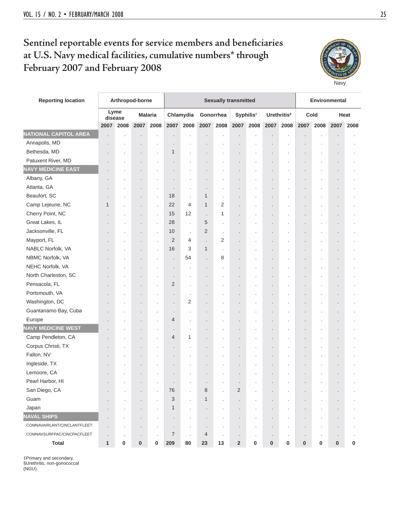## Sentinel reportable events for service members and beneficiaries **at U.S. Navy medical facilities, cumulative numbers\* through February 2007 and February 2008**



| <b>Reporting location</b>    |                |                 | Arthropod-borne                 |                |                      |                |                |                | <b>Sexually transmitted</b> |                       |           |                                |                |                | Environmental  |      |
|------------------------------|----------------|-----------------|---------------------------------|----------------|----------------------|----------------|----------------|----------------|-----------------------------|-----------------------|-----------|--------------------------------|----------------|----------------|----------------|------|
|                              |                | Lyme<br>disease |                                 | <b>Malaria</b> |                      | Chlamydia      | Gonorrhea      |                |                             | Syphilis <sup>#</sup> |           | <b>Urethritis</b> <sup>§</sup> |                | Cold           |                | Heat |
|                              | 2007           | 2008            | 2007                            | 2008           | 2007                 | 2008           | 2007           | 2008           | 2007                        | 2008                  | 2007      | 2008                           | 2007           | 2008           | 2007           | 2008 |
| <b>NATIONAL CAPITOL AREA</b> |                |                 | $\cdot$                         |                | $\ddot{\phantom{0}}$ |                |                |                |                             |                       |           |                                |                |                |                |      |
| Annapolis, MD                |                |                 | $\centering \label{eq:reduced}$ |                | $\ddot{\phantom{0}}$ |                |                |                |                             |                       |           |                                |                |                |                |      |
| Bethesda, MD                 |                |                 | $\cdot$                         | $\cdot$        | 1                    |                |                |                |                             |                       |           |                                |                |                |                |      |
| Patuxent River, MD           |                |                 | $\ddot{\phantom{0}}$            |                |                      |                |                |                |                             |                       |           |                                |                |                |                |      |
| <b>NAVY MEDICINE EAST</b>    |                |                 | $\cdot$                         |                |                      |                |                |                |                             |                       |           |                                |                |                |                |      |
| Albany, GA                   |                |                 | $\cdot$                         | $\cdot$        | $\blacksquare$       |                |                |                |                             |                       |           | $\cdot$                        |                |                | $\blacksquare$ |      |
| Atlanta, GA                  |                |                 | $\cdot$                         | $\cdot$        | $\cdot$              | $\cdot$        | ×              |                |                             |                       |           |                                |                |                | $\cdot$        |      |
| Beaufort, SC                 |                |                 | $\cdot$                         | $\cdot$        | 18                   | $\cdot$        | 1              |                |                             |                       |           |                                |                |                |                |      |
| Camp Lejeune, NC             | 1              |                 | $\cdot$                         | $\cdot$        | 22                   | 4              | $\mathbf{1}$   | 2              |                             |                       |           |                                |                |                |                |      |
| Cherry Point, NC             |                |                 | $\blacksquare$                  | $\cdot$        | 15                   | 12             | $\cdot$        | 1              |                             |                       |           |                                |                |                |                |      |
| Great Lakes, IL              |                |                 | $\ddot{\phantom{0}}$            | $\cdot$        | 28                   | $\cdot$        | 5              |                |                             |                       |           |                                |                |                |                |      |
| Jacksonville, FL             |                |                 |                                 | $\cdot$        | 10                   | $\cdot$        | 2              |                |                             |                       |           |                                |                |                |                |      |
| Mayport, FL                  |                |                 | $\cdot$                         | $\cdot$        | $\overline{2}$       | 4              | ÷,             | 2              |                             |                       |           |                                |                |                |                |      |
| NABLC Norfolk, VA            |                |                 | $\blacksquare$                  | $\cdot$        | 16                   | 3              | 1              | $\cdot$        |                             |                       |           |                                |                |                |                |      |
| NBMC Norfolk, VA             |                |                 | $\cdot$                         |                |                      | 54             |                | 8              |                             |                       |           |                                |                |                |                |      |
| NEHC Norfolk, VA             |                |                 | $\centering \label{eq:reduced}$ |                | $\blacksquare$       |                |                |                |                             |                       |           |                                |                |                |                |      |
| North Charleston, SC         |                |                 | $\cdot$                         | $\cdot$        | ×                    |                |                |                |                             |                       |           |                                |                |                |                |      |
| Pensacola, FL                |                |                 | $\blacksquare$                  | $\cdot$        | 2                    |                |                |                |                             |                       |           |                                |                |                | $\blacksquare$ |      |
| Portsmouth, VA               |                |                 |                                 |                |                      |                |                |                |                             |                       |           |                                |                |                |                |      |
| Washington, DC               |                |                 | $\centering \label{eq:reduced}$ | $\cdot$        |                      | 2              |                |                |                             |                       |           |                                |                |                |                |      |
| Guantanamo Bay, Cuba         |                |                 | $\centering \label{eq:reduced}$ | $\cdot$        |                      |                |                |                |                             |                       |           |                                |                |                |                |      |
| Europe                       |                |                 | ٠                               | $\cdot$        | 4                    |                |                |                |                             |                       |           |                                |                |                | $\blacksquare$ |      |
| <b>NAVY MEDICINE WEST</b>    |                |                 | $\cdot$                         | $\cdot$        | $\cdot$              |                |                |                |                             |                       |           |                                |                |                |                |      |
| Camp Pendleton, CA           |                |                 | $\blacksquare$                  | $\cdot$        | 4                    | 1              |                |                |                             |                       |           |                                |                |                |                |      |
| Corpus Christi, TX           |                |                 | $\blacksquare$                  | $\cdot$        | $\ddot{\phantom{0}}$ |                |                |                |                             |                       |           | $\cdot$                        |                |                |                |      |
| Fallon, NV                   |                |                 | $\blacksquare$                  | $\cdot$        |                      |                |                |                |                             |                       |           |                                |                |                |                |      |
| Ingleside, TX                |                |                 |                                 |                |                      |                |                |                |                             |                       |           |                                |                |                |                |      |
| Lemoore, CA                  |                |                 |                                 |                |                      |                |                |                |                             |                       |           |                                |                |                |                |      |
| Pearl Harbor, HI             |                |                 | $\cdot$                         |                |                      |                |                |                |                             |                       |           | $\cdot$                        |                |                |                |      |
| San Diego, CA                |                |                 | $\blacksquare$                  |                | 76                   | $\blacksquare$ | 8              | ٠              | 2                           | ٠                     |           |                                |                | ٠              | $\cdot$        |      |
| Guam                         |                |                 | $\blacksquare$                  | $\cdot$        | 3                    | $\cdot$        | 1              | $\blacksquare$ |                             |                       |           |                                |                |                | $\blacksquare$ |      |
| Japan                        |                |                 | $\blacksquare$                  | $\cdot$        | 1                    | $\cdot$        |                |                |                             |                       |           |                                |                |                |                |      |
| <b>NAVAL SHIPS</b>           |                |                 | $\blacksquare$                  | $\cdot$        | $\cdot$              | $\cdot$        | $\cdot$        | $\cdot$        | ٠                           | $\blacksquare$        | $\cdot$   | $\blacksquare$                 | $\blacksquare$ | $\blacksquare$ | $\blacksquare$ |      |
| COMNAVAIRLANT/CINCLANTFLEET  | $\cdot$        |                 | $\cdot$                         |                | $\cdot$              | $\cdot$        | $\cdot$        | ٠              | ٠                           | $\cdot$               |           | $\cdot$                        | $\bullet$      | ٠              | $\blacksquare$ |      |
| COMNAVSURFPAC/CINCPACFLEET   | $\blacksquare$ | $\cdot$         | $\blacksquare$                  | $\cdot$        | $\overline{7}$       | $\cdot$        | $\overline{4}$ | $\cdot$        | ٠                           | $\cdot$               |           | $\blacksquare$                 |                | $\cdot$        | $\cdot$        |      |
| <b>Total</b>                 | 1              | 0               | 0                               | 0              | 209                  | 80             | 23             | 13             | $\overline{\mathbf{2}}$     | 0                     | $\pmb{0}$ | 0                              | $\pmb{0}$      | 0              | $\pmb{0}$      | 0    |

‡Primary and secondary. §Urethritis, non-gonococcal (NGU).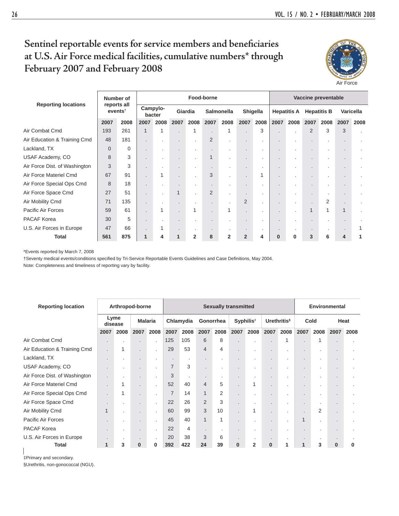## Sentinel reportable events for service members and beneficiaries **at U.S. Air Force medical facilities, cumulative numbers\* through February 2007 and February 2008**



|                               |                        | Number of   |      |                    |              |                | Food-borne               |                   |                      |          |          |                    |                    | Vaccine preventable |                |      |
|-------------------------------|------------------------|-------------|------|--------------------|--------------|----------------|--------------------------|-------------------|----------------------|----------|----------|--------------------|--------------------|---------------------|----------------|------|
| <b>Reporting locations</b>    | $e$ vents <sup>†</sup> | reports all |      | Campylo-<br>bacter |              | Giardia        |                          | <b>Salmonella</b> |                      | Shigella |          | <b>Hepatitis A</b> | <b>Hepatitis B</b> |                     | Varicella      |      |
|                               | 2007                   | 2008        | 2007 | 2008               | 2007         | 2008           | 2007                     | 2008              | 2007                 | 2008     | 2007     | 2008               | 2007               | 2008                | 2007           | 2008 |
| Air Combat Cmd                | 193                    | 261         | 1    | 1                  |              |                | $\overline{\phantom{a}}$ |                   | $\ddot{\phantom{a}}$ | 3        |          | $\cdot$            | 2                  | 3                   | 3              |      |
| Air Education & Training Cmd  | 48                     | 181         |      | $\blacksquare$     |              | $\cdot$        | $\overline{2}$           |                   | $\mathbf{r}$         | ٠        |          |                    |                    |                     | $\cdot$        |      |
| Lackland, TX                  | $\overline{0}$         | 0           |      | $\blacksquare$     | $\cdot$      |                | $\bullet$                |                   | $\bullet$            | ٠        |          |                    |                    |                     | ٠              |      |
| USAF Academy, CO              | 8                      | 3           |      | $\blacksquare$     |              |                | $\mathbf{1}$             | $\cdot$           | $\ddot{\phantom{1}}$ | ٠        |          |                    |                    |                     | ٠              |      |
| Air Force Dist. of Washington | 3                      | 3           |      | $\blacksquare$     |              |                | ×.                       |                   | $\ddot{\phantom{1}}$ |          |          |                    |                    |                     | ×.             |      |
| Air Force Materiel Cmd        | 67                     | 91          |      | 1                  |              |                | 3                        |                   | $\ddot{\phantom{a}}$ | 1        |          |                    |                    |                     | ٠              |      |
| Air Force Special Ops Cmd     | 8                      | 18          |      | $\cdot$            | $\mathbf{r}$ |                | ×.                       |                   | $\mathbf{r}$         | ٠        |          | $\cdot$            |                    |                     | ٠              |      |
| Air Force Space Cmd           | 27                     | 51          |      | $\cdot$            | $\mathbf{1}$ |                | $\overline{2}$           |                   | $\ddot{\phantom{1}}$ |          |          |                    |                    |                     | $\blacksquare$ |      |
| Air Mobility Cmd              | 71                     | 135         |      | $\blacksquare$     |              |                | $\overline{\phantom{a}}$ |                   | $\overline{2}$       | ٠        |          |                    |                    | 2                   |                |      |
| Pacific Air Forces            | 59                     | 61          |      |                    |              |                | $\blacksquare$           |                   | $\blacksquare$       |          |          | $\cdot$            | 1                  | 1                   | $\mathbf{1}$   |      |
| <b>PACAF Korea</b>            | 30                     | 5           |      | $\cdot$            |              |                | ٠                        |                   | $\mathbf{r}$         | ٠.       |          |                    |                    |                     | ×.             |      |
| U.S. Air Forces in Europe     | 47                     | 66          |      | 1                  |              |                |                          |                   | $\ddot{\phantom{1}}$ |          |          |                    |                    |                     |                |      |
| <b>Total</b>                  | 561                    | 875         | 1    | 4                  | $\mathbf{1}$ | $\overline{2}$ | 8                        | $\mathbf{2}$      | $\overline{2}$       | 4        | $\bf{0}$ | $\bf{0}$           | 3                  | 6                   | 4              |      |

\*Events reported by March 7, 2008

†Seventy medical events/conditions specified by Tri-Service Reportable Events Guidelines and Case Definitions, May 2004.

Note: Completeness and timeliness of reporting vary by facility.

| <b>Reporting location</b>     |                | Arthropod-borne |          |                |                |           |                |           | <b>Sexually transmitted</b> |                       |                |                                |                          |      | <b>Environmental</b> |      |
|-------------------------------|----------------|-----------------|----------|----------------|----------------|-----------|----------------|-----------|-----------------------------|-----------------------|----------------|--------------------------------|--------------------------|------|----------------------|------|
|                               |                | Lyme<br>disease |          | <b>Malaria</b> |                | Chlamydia |                | Gonorrhea |                             | Syphilis <sup>#</sup> |                | <b>Urethritis</b> <sup>§</sup> |                          | Cold |                      | Heat |
|                               | 2007           | 2008            | 2007     | 2008           | 2007           | 2008      | 2007           | 2008      | 2007                        | 2008                  | 2007           | 2008                           | 2007                     | 2008 | 2007                 | 2008 |
| Air Combat Cmd                |                |                 |          |                | 125            | 105       | 6              | 8         |                             |                       | $\cdot$        |                                |                          | 1    |                      |      |
| Air Education & Training Cmd  |                | 1               | $\cdot$  | $\cdot$        | 29             | 53        | $\overline{4}$ | 4         | ٠                           |                       | $\cdot$        | ٠.                             | ×.                       |      | $\cdot$              |      |
| Lackland, TX                  |                |                 | ٠        | $\cdot$        | $\cdot$        | $\bullet$ |                | ٠         | ٠                           |                       | $\blacksquare$ | $\sim$                         | ×.                       | ٠    | $\blacksquare$       |      |
| USAF Academy, CO              | $\cdot$        |                 | ×.       | $\cdot$        | $\overline{7}$ | 3         | $\cdot$        |           |                             |                       | $\cdot$        | $\cdot$                        | $\bullet$                |      | $\cdot$              |      |
| Air Force Dist. of Washington | $\cdot$        |                 |          | $\cdot$        | 3              | $\cdot$   | $\bullet$      | ٠.        | ٠                           |                       | $\blacksquare$ | $\mathbf{r}$                   | $\bullet$                | ٠    | $\blacksquare$       |      |
| Air Force Materiel Cmd        |                | 1               | $\cdot$  | $\cdot$        | 52             | 40        | $\overline{4}$ | 5         |                             | 1                     | $\cdot$        | $\mathbf{r}$                   |                          |      | $\cdot$              |      |
| Air Force Special Ops Cmd     | $\cdot$        | 1               | $\cdot$  | $\cdot$        | $\overline{7}$ | 14        | $\mathbf{1}$   | 2         |                             |                       | $\cdot$        | $\cdot$                        |                          |      |                      |      |
| Air Force Space Cmd           | $\bullet$      |                 |          | $\cdot$        | 22             | 26        | 2              | 3         | ٠                           |                       | $\cdot$        | ٠.                             | $\bullet$                | ٠    | $\cdot$              |      |
| Air Mobility Cmd              | 1              | $\cdot$         |          | $\cdot$        | 60             | 99        | 3              | 10        |                             | 1                     | $\cdot$        | $\blacksquare$                 | $\overline{\phantom{a}}$ | 2    | $\cdot$              |      |
| Pacific Air Forces            |                |                 |          | $\cdot$        | 45             | 40        | $\mathbf{1}$   | 1         | $\blacksquare$              |                       | $\blacksquare$ | $\sim$                         | $\mathbf{1}$             | ×    | $\cdot$              |      |
| <b>PACAF Korea</b>            |                |                 |          |                | 22             | 4         |                |           |                             |                       |                |                                |                          |      |                      |      |
| U.S. Air Forces in Europe     | $\blacksquare$ |                 |          |                | 20             | 38        | 3              | 6         |                             |                       |                |                                |                          |      |                      |      |
| Total                         | 1              | 3               | $\bf{0}$ | 0              | 392            | 422       | 24             | 39        | $\bf{0}$                    | $\overline{2}$        | 0              | 1                              | 1                        | 3    | $\bf{0}$             | 0    |

 $\overline{\phantom{a}}$ ‡Primary and secondary.

§Urethritis, non-gonococcal (NGU).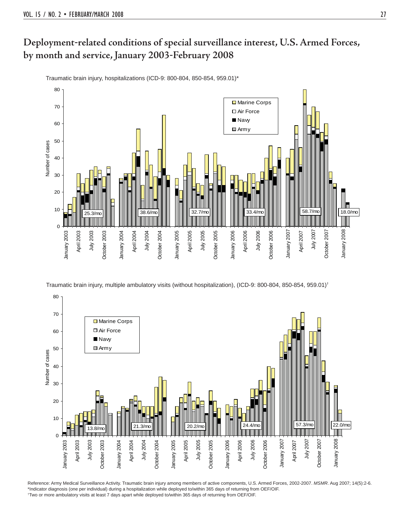Traumatic brain injury, hospitalizations (ICD-9: 800-804, 850-854, 959.01)\*



Traumatic brain injury, multiple ambulatory visits (without hospitalization), (ICD-9: 800-804, 850-854, 959.01)†



Reference: Army Medical Surveillance Activity. Traumatic brain injury among members of active components, U.S. Armed Forces, 2002-2007. *MSMR*. Aug 2007; 14(5):2-6. \*Indicator diagnosis (one per individual) during a hospitalization while deployed to/within 365 days of returning from OEF/OIF. † Two or more ambulatory visits at least 7 days apart while deployed to/within 365 days of returning from OEF/OIF.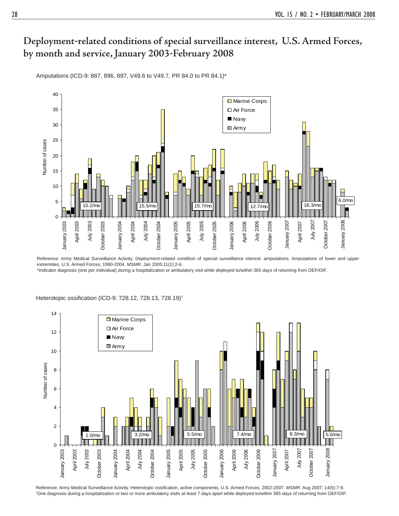Amputations (ICD-9: 887, 896, 897, V49.6 to V49.7, PR 84.0 to PR 84.1)\*



Reference: Army Medical Surveillance Activity. Deployment-related condition of special surveillance interest: amputations. Amputations of lower and upper extremities, U.S. Armed Forces, 1990-2004. *MSMR*. Jan 2005;11(1):2-6.

\*Indicator diagnosis (one per individual) during a hospitalization or ambulatory visit while deployed to/within 365 days of returning from OEF/OIF.



Heterotopic ossification (ICD-9: 728.12, 728.13, 728.19)<sup>†</sup>

Reference: Army Medical Surveillance Activity. Heterotopic ossification, active components, U.S. Armed Forces, 2002-2007. MSMR. Aug 2007; 14(5):7-9. † One diagnosis during a hospitalization or two or more ambulatory visits at least 7 days apart while deployed to/within 365 days of returning from OEF/OIF.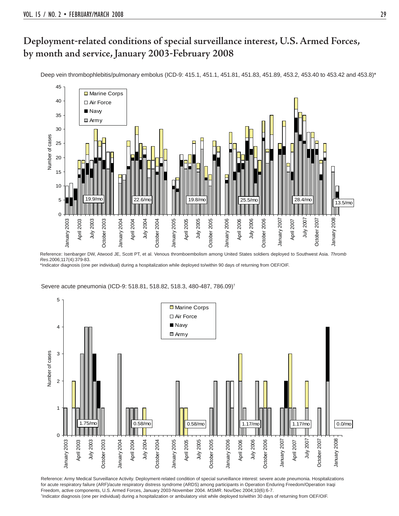Deep vein thrombophlebitis/pulmonary embolus (ICD-9: 415.1, 451.1, 451.81, 451.83, 451.89, 453.2, 453.40 to 453.42 and 453.8)\*



Reference: Isenbarger DW, Atwood JE, Scott PT, et al. Venous thromboembolism among United States soldiers deployed to Southwest Asia. *Thromb Res*.2006;117(4):379-83.

\*Indicator diagnosis (one per individual) during a hospitalization while deployed to/within 90 days of returning from OEF/OIF.

Severe acute pneumonia (ICD-9: 518.81, 518.82, 518.3, 480-487, 786.09)†



Reference: Army Medical Surveillance Activity. Deployment-related condition of special surveillance interest: severe acute pneumonia. Hospitalizations for acute respiratory failure (ARF)/acute respiratory distress syndrome (ARDS) among participants in Operation Enduring Freedom/Operation Iraqi Freedom, active components, U.S. Armed Forces, January 2003-November 2004. *MSMR*. Nov/Dec 2004;10(6):6-7. † Indicator diagnosis (one per individual) during a hospitalization or ambulatory visit while deployed to/within 30 days of returning from OEF/OIF.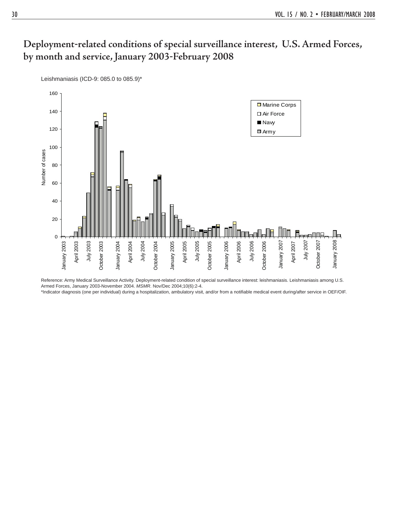160 **□** Marine Corps 140 Air Force ■ Navy 120 ■ Army 100 Number of cases Number of cases 80 60 40 20 Дд ПΠ 0 July 2005 July 2003 July 2004 January 2005 October 2005 January 2006 July 2006 January 2007 July 2007 January 2008 January 2003 January 2003 April 2003 October 2003 October 2003 January 2004 January 2004 April 2004 October 2004 October 2004 January 2005 April 2005 October 2005 January 2006 April 2006 October 2006 October 2006 January 2007 April 2007 October 2007 October 2007 January 2008

Reference: Army Medical Surveillance Activity. Deployment-related condition of special surveillance interest: leishmaniasis. Leishmaniasis among U.S. Armed Forces, January 2003-November 2004. *MSMR*. Nov/Dec 2004;10(6):2-4. \*Indicator diagnosis (one per individual) during a hospitalization, ambulatory visit, and/or from a notifiable medical event during/after service in OEF/OIF.

Leishmaniasis (ICD-9: 085.0 to 085.9)\*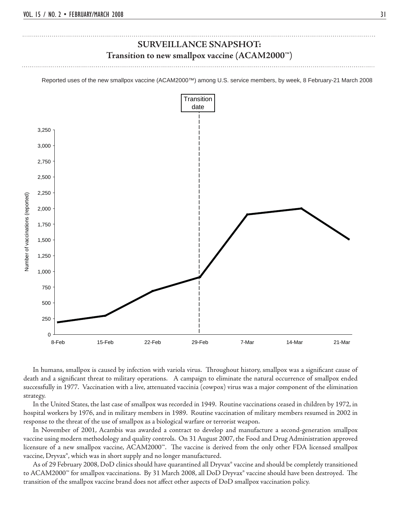### **SURVEILLANCE SNAPSHOT: Transition to new smallpox vaccine (ACAM2000™)**

Reported uses of the new smallpox vaccine (ACAM2000™) among U.S. service members, by week, 8 February-21 March 2008



In humans, smallpox is caused by infection with variola virus. Throughout history, smallpox was a significant cause of death and a significant threat to military operations. A campaign to eliminate the natural occurrence of smallpox ended successfully in 1977. Vaccination with a live, attenuated vaccinia (cowpox) virus was a major component of the elimination strategy.

 In the United States, the last case of smallpox was recorded in 1949. Routine vaccinations ceased in children by 1972, in hospital workers by 1976, and in military members in 1989. Routine vaccination of military members resumed in 2002 in response to the threat of the use of smallpox as a biological warfare or terrorist weapon.

 In November of 2001, Acambis was awarded a contract to develop and manufacture a second-generation smallpox vaccine using modern methodology and quality controls. On 31 August 2007, the Food and Drug Administration approved licensure of a new smallpox vaccine, ACAM2000™. The vaccine is derived from the only other FDA licensed smallpox vaccine, Dryvax®, which was in short supply and no longer manufactured.

As of 29 February 2008, DoD clinics should have quarantined all Dryvax® vaccine and should be completely transitioned to ACAM2000™ for smallpox vaccinations. By 31 March 2008, all DoD Dryvax® vaccine should have been destroyed. The transition of the smallpox vaccine brand does not affect other aspects of DoD smallpox vaccination policy.